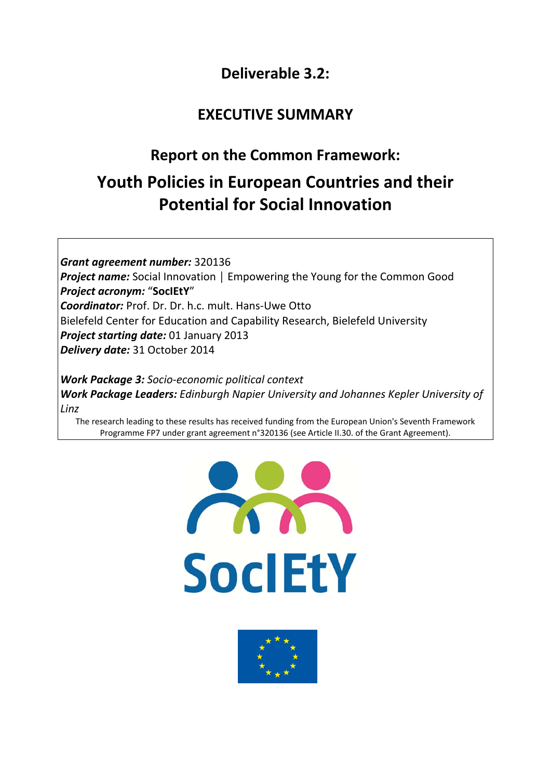# **Deliverable 3.2:**

# **EXECUTIVE SUMMARY**

# **Report on the Common Framework:**

# **Youth Policies in European Countries and their Potential for Social Innovation**

*Grant agreement number:* 320136 *Project name:* Social Innovation | Empowering the Young for the Common Good *Project acronym:* "**SocIEtY**" *Coordinator:* Prof. Dr. Dr. h.c. mult. Hans‐Uwe Otto Bielefeld Center for Education and Capability Research, Bielefeld University *Project starting date:* 01 January 2013 *Delivery date:* 31 October 2014

*Work Package 3: Socio‐economic political context Work Package Leaders: Edinburgh Napier University and Johannes Kepler University of Linz*

The research leading to these results has received funding from the European Union's Seventh Framework Programme FP7 under grant agreement n°320136 (see Article II.30. of the Grant Agreement).



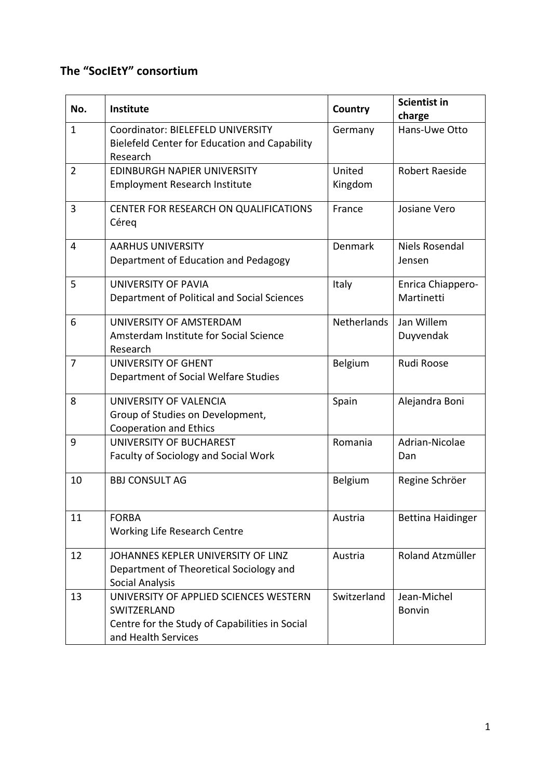# **The "SocIEtY" consortium**

| No.          | Institute                                                                                                                      | Country           | <b>Scientist in</b><br>charge   |
|--------------|--------------------------------------------------------------------------------------------------------------------------------|-------------------|---------------------------------|
| $\mathbf{1}$ | Coordinator: BIELEFELD UNIVERSITY<br>Bielefeld Center for Education and Capability<br>Research                                 | Germany           | Hans-Uwe Otto                   |
| 2            | <b>EDINBURGH NAPIER UNIVERSITY</b><br><b>Employment Research Institute</b>                                                     | United<br>Kingdom | <b>Robert Raeside</b>           |
| 3            | CENTER FOR RESEARCH ON QUALIFICATIONS<br>Céreq                                                                                 | France            | Josiane Vero                    |
| 4            | <b>AARHUS UNIVERSITY</b><br>Department of Education and Pedagogy                                                               | Denmark           | Niels Rosendal<br>Jensen        |
| 5            | UNIVERSITY OF PAVIA<br>Department of Political and Social Sciences                                                             | Italy             | Enrica Chiappero-<br>Martinetti |
| 6            | UNIVERSITY OF AMSTERDAM<br>Amsterdam Institute for Social Science<br>Research                                                  | Netherlands       | Jan Willem<br>Duyvendak         |
| 7            | <b>UNIVERSITY OF GHENT</b><br>Department of Social Welfare Studies                                                             | Belgium           | Rudi Roose                      |
| 8            | UNIVERSITY OF VALENCIA<br>Group of Studies on Development,<br><b>Cooperation and Ethics</b>                                    | Spain             | Alejandra Boni                  |
| 9            | <b>UNIVERSITY OF BUCHAREST</b><br><b>Faculty of Sociology and Social Work</b>                                                  | Romania           | Adrian-Nicolae<br>Dan           |
| 10           | <b>BBJ CONSULT AG</b>                                                                                                          | Belgium           | Regine Schröer                  |
| 11           | <b>FORBA</b><br>Working Life Research Centre                                                                                   | Austria           | <b>Bettina Haidinger</b>        |
| 12           | JOHANNES KEPLER UNIVERSITY OF LINZ<br>Department of Theoretical Sociology and<br><b>Social Analysis</b>                        | Austria           | Roland Atzmüller                |
| 13           | UNIVERSITY OF APPLIED SCIENCES WESTERN<br>SWITZERLAND<br>Centre for the Study of Capabilities in Social<br>and Health Services | Switzerland       | Jean-Michel<br>Bonvin           |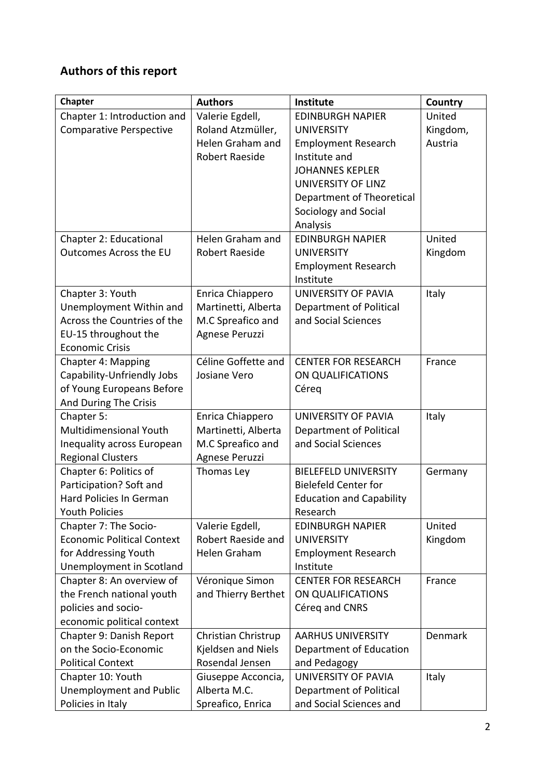# **Authors of this report**

| Chapter                             | <b>Authors</b>                          | <b>Institute</b>                | Country  |
|-------------------------------------|-----------------------------------------|---------------------------------|----------|
| Chapter 1: Introduction and         | Valerie Egdell,                         | <b>EDINBURGH NAPIER</b>         | United   |
| <b>Comparative Perspective</b>      | Roland Atzmüller,                       | <b>UNIVERSITY</b>               | Kingdom, |
|                                     | Helen Graham and                        | <b>Employment Research</b>      | Austria  |
|                                     | <b>Robert Raeside</b>                   | Institute and                   |          |
|                                     |                                         | <b>JOHANNES KEPLER</b>          |          |
|                                     |                                         | UNIVERSITY OF LINZ              |          |
|                                     |                                         | Department of Theoretical       |          |
|                                     |                                         | Sociology and Social            |          |
|                                     |                                         | Analysis                        |          |
| Chapter 2: Educational              | Helen Graham and                        | <b>EDINBURGH NAPIER</b>         | United   |
| Outcomes Across the EU              | <b>Robert Raeside</b>                   | <b>UNIVERSITY</b>               | Kingdom  |
|                                     |                                         | <b>Employment Research</b>      |          |
|                                     |                                         | Institute                       |          |
| Chapter 3: Youth                    | Enrica Chiappero                        | UNIVERSITY OF PAVIA             | Italy    |
| Unemployment Within and             | Martinetti, Alberta                     | Department of Political         |          |
| Across the Countries of the         | M.C Spreafico and                       | and Social Sciences             |          |
| EU-15 throughout the                | Agnese Peruzzi                          |                                 |          |
| <b>Economic Crisis</b>              |                                         |                                 |          |
| Chapter 4: Mapping                  | Céline Goffette and                     | <b>CENTER FOR RESEARCH</b>      | France   |
| Capability-Unfriendly Jobs          | Josiane Vero                            | ON QUALIFICATIONS               |          |
| of Young Europeans Before           |                                         | Céreg                           |          |
| And During The Crisis<br>Chapter 5: |                                         | UNIVERSITY OF PAVIA             |          |
| Multidimensional Youth              | Enrica Chiappero<br>Martinetti, Alberta | Department of Political         | Italy    |
| Inequality across European          | M.C Spreafico and                       | and Social Sciences             |          |
| <b>Regional Clusters</b>            | Agnese Peruzzi                          |                                 |          |
| Chapter 6: Politics of              | Thomas Ley                              | <b>BIELEFELD UNIVERSITY</b>     | Germany  |
| Participation? Soft and             |                                         | <b>Bielefeld Center for</b>     |          |
| <b>Hard Policies In German</b>      |                                         | <b>Education and Capability</b> |          |
| <b>Youth Policies</b>               |                                         | Research                        |          |
| Chapter 7: The Socio-               | Valerie Egdell,                         | <b>EDINBURGH NAPIER</b>         | United   |
| <b>Economic Political Context</b>   | Robert Raeside and                      | <b>UNIVERSITY</b>               | Kingdom  |
| for Addressing Youth                | Helen Graham                            | <b>Employment Research</b>      |          |
| Unemployment in Scotland            |                                         | Institute                       |          |
| Chapter 8: An overview of           | Véronique Simon                         | <b>CENTER FOR RESEARCH</b>      | France   |
| the French national youth           | and Thierry Berthet                     | ON QUALIFICATIONS               |          |
| policies and socio-                 |                                         | Céreq and CNRS                  |          |
| economic political context          |                                         |                                 |          |
| Chapter 9: Danish Report            | Christian Christrup                     | <b>AARHUS UNIVERSITY</b>        | Denmark  |
| on the Socio-Economic               | Kjeldsen and Niels                      | Department of Education         |          |
| <b>Political Context</b>            | Rosendal Jensen                         | and Pedagogy                    |          |
| Chapter 10: Youth                   | Giuseppe Acconcia,                      | UNIVERSITY OF PAVIA             | Italy    |
| <b>Unemployment and Public</b>      | Alberta M.C.                            | Department of Political         |          |
| Policies in Italy                   | Spreafico, Enrica                       | and Social Sciences and         |          |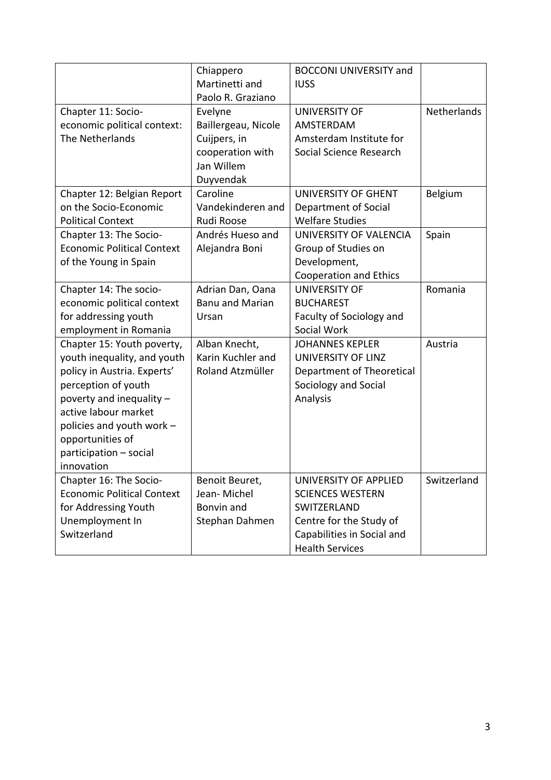|                                   | Chiappero              | <b>BOCCONI UNIVERSITY and</b> |             |
|-----------------------------------|------------------------|-------------------------------|-------------|
|                                   | Martinetti and         | <b>IUSS</b>                   |             |
|                                   | Paolo R. Graziano      |                               |             |
| Chapter 11: Socio-                | Evelyne                | <b>UNIVERSITY OF</b>          | Netherlands |
| economic political context:       | Baillergeau, Nicole    | AMSTERDAM                     |             |
| The Netherlands                   | Cuijpers, in           | Amsterdam Institute for       |             |
|                                   | cooperation with       | Social Science Research       |             |
|                                   | Jan Willem             |                               |             |
|                                   | Duyvendak              |                               |             |
| Chapter 12: Belgian Report        | Caroline               | UNIVERSITY OF GHENT           | Belgium     |
| on the Socio-Economic             | Vandekinderen and      | Department of Social          |             |
| <b>Political Context</b>          | Rudi Roose             | <b>Welfare Studies</b>        |             |
| Chapter 13: The Socio-            | Andrés Hueso and       | UNIVERSITY OF VALENCIA        | Spain       |
| <b>Economic Political Context</b> | Alejandra Boni         | Group of Studies on           |             |
| of the Young in Spain             |                        | Development,                  |             |
|                                   |                        | <b>Cooperation and Ethics</b> |             |
| Chapter 14: The socio-            | Adrian Dan, Oana       | <b>UNIVERSITY OF</b>          | Romania     |
| economic political context        | <b>Banu and Marian</b> | <b>BUCHAREST</b>              |             |
| for addressing youth              | Ursan                  | Faculty of Sociology and      |             |
| employment in Romania             |                        | Social Work                   |             |
| Chapter 15: Youth poverty,        | Alban Knecht,          | <b>JOHANNES KEPLER</b>        | Austria     |
| youth inequality, and youth       | Karin Kuchler and      | UNIVERSITY OF LINZ            |             |
| policy in Austria. Experts'       | Roland Atzmüller       | Department of Theoretical     |             |
| perception of youth               |                        | Sociology and Social          |             |
| poverty and inequality -          |                        | Analysis                      |             |
| active labour market              |                        |                               |             |
| policies and youth work -         |                        |                               |             |
| opportunities of                  |                        |                               |             |
| participation - social            |                        |                               |             |
| innovation                        |                        |                               |             |
| Chapter 16: The Socio-            | Benoit Beuret,         | UNIVERSITY OF APPLIED         | Switzerland |
| <b>Economic Political Context</b> | Jean-Michel            | <b>SCIENCES WESTERN</b>       |             |
| for Addressing Youth              | Bonvin and             | SWITZERLAND                   |             |
| Unemployment In                   | Stephan Dahmen         | Centre for the Study of       |             |
| Switzerland                       |                        | Capabilities in Social and    |             |
|                                   |                        | <b>Health Services</b>        |             |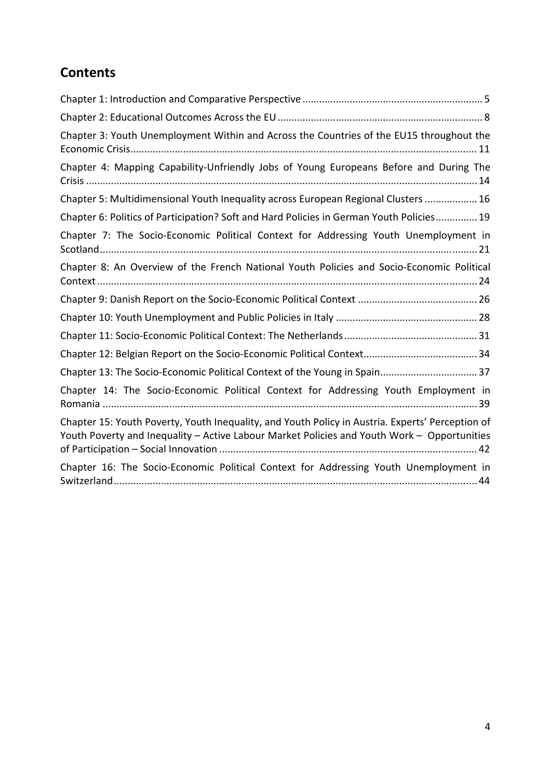# **Contents**

| Chapter 3: Youth Unemployment Within and Across the Countries of the EU15 throughout the                                                                                                        |
|-------------------------------------------------------------------------------------------------------------------------------------------------------------------------------------------------|
| Chapter 4: Mapping Capability-Unfriendly Jobs of Young Europeans Before and During The                                                                                                          |
| Chapter 5: Multidimensional Youth Inequality across European Regional Clusters  16                                                                                                              |
| Chapter 6: Politics of Participation? Soft and Hard Policies in German Youth Policies 19                                                                                                        |
| Chapter 7: The Socio-Economic Political Context for Addressing Youth Unemployment in                                                                                                            |
| Chapter 8: An Overview of the French National Youth Policies and Socio-Economic Political                                                                                                       |
|                                                                                                                                                                                                 |
|                                                                                                                                                                                                 |
|                                                                                                                                                                                                 |
|                                                                                                                                                                                                 |
| Chapter 13: The Socio-Economic Political Context of the Young in Spain 37                                                                                                                       |
| Chapter 14: The Socio-Economic Political Context for Addressing Youth Employment in                                                                                                             |
| Chapter 15: Youth Poverty, Youth Inequality, and Youth Policy in Austria. Experts' Perception of<br>Youth Poverty and Inequality - Active Labour Market Policies and Youth Work - Opportunities |
| Chapter 16: The Socio-Economic Political Context for Addressing Youth Unemployment in                                                                                                           |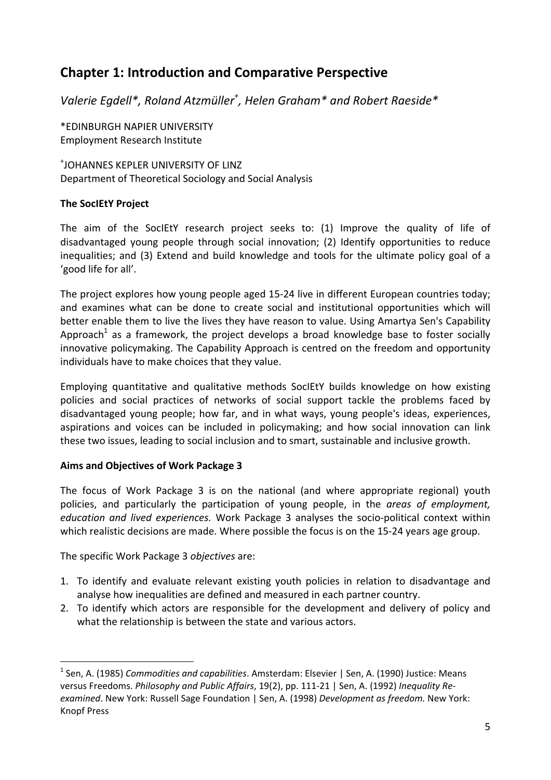# **Chapter 1: Introduction and Comparative Perspective**

*Valerie Egdell\*, Roland Atzmüller<sup>+</sup> , Helen Graham\* and Robert Raeside\**

\*EDINBURGH NAPIER UNIVERSITY Employment Research Institute

+ JOHANNES KEPLER UNIVERSITY OF LINZ Department of Theoretical Sociology and Social Analysis

# **The SocIEtY Project**

The aim of the SocIEtY research project seeks to: (1) Improve the quality of life of disadvantaged young people through social innovation; (2) Identify opportunities to reduce inequalities; and (3) Extend and build knowledge and tools for the ultimate policy goal of a 'good life for all'.

The project explores how young people aged 15‐24 live in different European countries today; and examines what can be done to create social and institutional opportunities which will better enable them to live the lives they have reason to value. Using Amartya Sen's Capability Approach<sup>1</sup> as a framework, the project develops a broad knowledge base to foster socially innovative policymaking. The Capability Approach is centred on the freedom and opportunity individuals have to make choices that they value.

Employing quantitative and qualitative methods SocIEtY builds knowledge on how existing policies and social practices of networks of social support tackle the problems faced by disadvantaged young people; how far, and in what ways, young people's ideas, experiences, aspirations and voices can be included in policymaking; and how social innovation can link these two issues, leading to social inclusion and to smart, sustainable and inclusive growth.

### **Aims and Objectives of Work Package 3**

The focus of Work Package 3 is on the national (and where appropriate regional) youth policies, and particularly the participation of young people, in the *areas of employment, education and lived experiences.* Work Package 3 analyses the socio‐political context within which realistic decisions are made. Where possible the focus is on the 15-24 years age group.

The specific Work Package 3 *objectives* are:

- 1. To identify and evaluate relevant existing youth policies in relation to disadvantage and analyse how inequalities are defined and measured in each partner country.
- 2. To identify which actors are responsible for the development and delivery of policy and what the relationship is between the state and various actors.

<sup>1</sup> Sen, A. (1985) *Commodities and capabilities*. Amsterdam: Elsevier | Sen, A. (1990) Justice: Means versus Freedoms. *Philosophy and Public Affairs*, 19(2), pp. 111‐21 | Sen, A. (1992) *Inequality Re‐ examined*. New York: Russell Sage Foundation | Sen, A. (1998) *Development as freedom.* New York: Knopf Press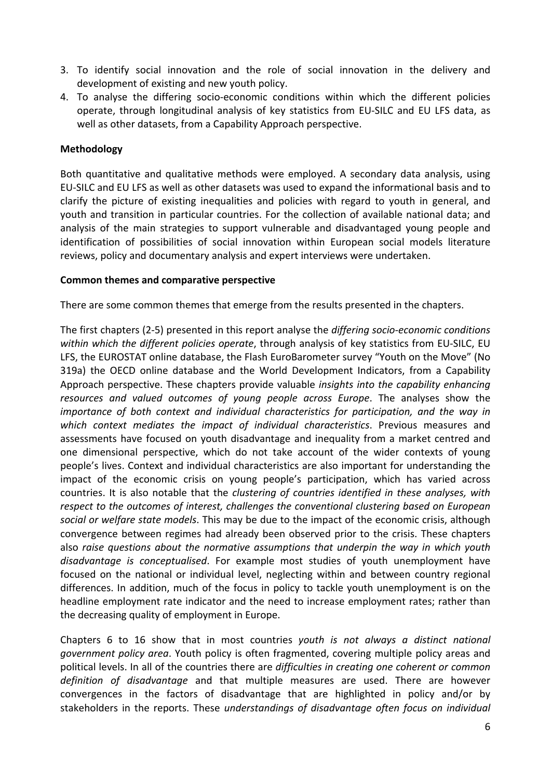- 3. To identify social innovation and the role of social innovation in the delivery and development of existing and new youth policy.
- 4. To analyse the differing socio‐economic conditions within which the different policies operate, through longitudinal analysis of key statistics from EU‐SILC and EU LFS data, as well as other datasets, from a Capability Approach perspective.

### **Methodology**

Both quantitative and qualitative methods were employed. A secondary data analysis, using EU‐SILC and EU LFS as well as other datasets was used to expand the informational basis and to clarify the picture of existing inequalities and policies with regard to youth in general, and youth and transition in particular countries. For the collection of available national data; and analysis of the main strategies to support vulnerable and disadvantaged young people and identification of possibilities of social innovation within European social models literature reviews, policy and documentary analysis and expert interviews were undertaken.

#### **Common themes and comparative perspective**

There are some common themes that emerge from the results presented in the chapters.

The first chapters (2‐5) presented in this report analyse the *differing socio‐economic conditions within which the different policies operate*, through analysis of key statistics from EU‐SILC, EU LFS, the EUROSTAT online database, the Flash EuroBarometer survey "Youth on the Move" (No 319a) the OECD online database and the World Development Indicators, from a Capability Approach perspective. These chapters provide valuable *insights into the capability enhancing resources and valued outcomes of young people across Europe*. The analyses show the *importance of both context and individual characteristics for participation, and the way in which context mediates the impact of individual characteristics*. Previous measures and assessments have focused on youth disadvantage and inequality from a market centred and one dimensional perspective, which do not take account of the wider contexts of young people's lives. Context and individual characteristics are also important for understanding the impact of the economic crisis on young people's participation, which has varied across countries. It is also notable that the *clustering of countries identified in these analyses, with respect to the outcomes of interest, challenges the conventional clustering based on European social or welfare state models*. This may be due to the impact of the economic crisis, although convergence between regimes had already been observed prior to the crisis. These chapters also *raise questions about the normative assumptions that underpin the way in which youth disadvantage is conceptualised*. For example most studies of youth unemployment have focused on the national or individual level, neglecting within and between country regional differences. In addition, much of the focus in policy to tackle youth unemployment is on the headline employment rate indicator and the need to increase employment rates; rather than the decreasing quality of employment in Europe.

Chapters 6 to 16 show that in most countries *youth is not always a distinct national government policy area*. Youth policy is often fragmented, covering multiple policy areas and political levels. In all of the countries there are *difficulties in creating one coherent or common definition of disadvantage* and that multiple measures are used. There are however convergences in the factors of disadvantage that are highlighted in policy and/or by stakeholders in the reports. These *understandings of disadvantage often focus on individual*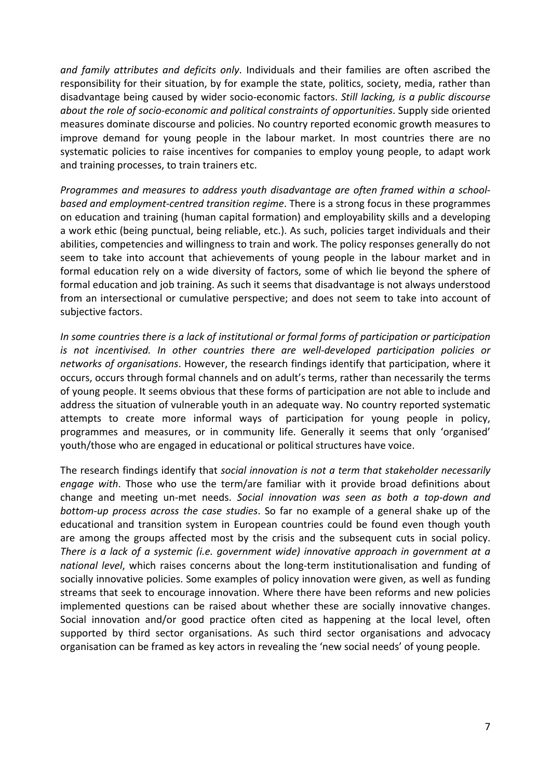*and family attributes and deficits only*. Individuals and their families are often ascribed the responsibility for their situation, by for example the state, politics, society, media, rather than disadvantage being caused by wider socio‐economic factors. *Still lacking, is a public discourse about the role of socio‐economic and political constraints of opportunities*. Supply side oriented measures dominate discourse and policies. No country reported economic growth measures to improve demand for young people in the labour market. In most countries there are no systematic policies to raise incentives for companies to employ young people, to adapt work and training processes, to train trainers etc.

*Programmes and measures to address youth disadvantage are often framed within a school‐ based and employment‐centred transition regime*. There is a strong focus in these programmes on education and training (human capital formation) and employability skills and a developing a work ethic (being punctual, being reliable, etc.). As such, policies target individuals and their abilities, competencies and willingness to train and work. The policy responses generally do not seem to take into account that achievements of young people in the labour market and in formal education rely on a wide diversity of factors, some of which lie beyond the sphere of formal education and job training. As such it seems that disadvantage is not always understood from an intersectional or cumulative perspective; and does not seem to take into account of subjective factors.

*In some countries there is a lack of institutional or formal forms of participation or participation is not incentivised. In other countries there are well‐developed participation policies or networks of organisations*. However, the research findings identify that participation, where it occurs, occurs through formal channels and on adult's terms, rather than necessarily the terms of young people. It seems obvious that these forms of participation are not able to include and address the situation of vulnerable youth in an adequate way. No country reported systematic attempts to create more informal ways of participation for young people in policy, programmes and measures, or in community life. Generally it seems that only 'organised' youth/those who are engaged in educational or political structures have voice.

The research findings identify that *social innovation is not a term that stakeholder necessarily engage with*. Those who use the term/are familiar with it provide broad definitions about change and meeting un‐met needs. *Social innovation was seen as both a top‐down and bottom‐up process across the case studies*. So far no example of a general shake up of the educational and transition system in European countries could be found even though youth are among the groups affected most by the crisis and the subsequent cuts in social policy. *There is a lack of a systemic (i.e. government wide) innovative approach in government at a national level*, which raises concerns about the long‐term institutionalisation and funding of socially innovative policies. Some examples of policy innovation were given, as well as funding streams that seek to encourage innovation. Where there have been reforms and new policies implemented questions can be raised about whether these are socially innovative changes. Social innovation and/or good practice often cited as happening at the local level, often supported by third sector organisations. As such third sector organisations and advocacy organisation can be framed as key actors in revealing the 'new social needs' of young people.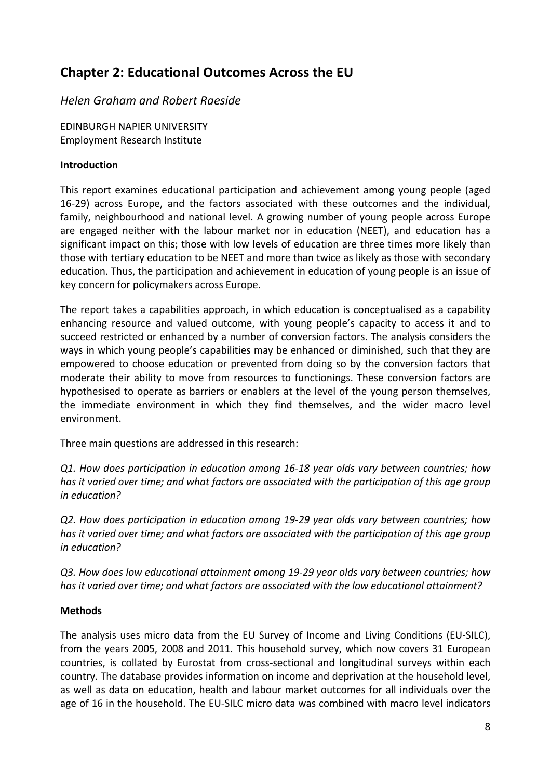# **Chapter 2: Educational Outcomes Across the EU**

# *Helen Graham and Robert Raeside*

EDINBURGH NAPIER UNIVERSITY Employment Research Institute

### **Introduction**

This report examines educational participation and achievement among young people (aged 16-29) across Europe, and the factors associated with these outcomes and the individual, family, neighbourhood and national level. A growing number of young people across Europe are engaged neither with the labour market nor in education (NEET), and education has a significant impact on this; those with low levels of education are three times more likely than those with tertiary education to be NEET and more than twice as likely as those with secondary education. Thus, the participation and achievement in education of young people is an issue of key concern for policymakers across Europe.

The report takes a capabilities approach, in which education is conceptualised as a capability enhancing resource and valued outcome, with young people's capacity to access it and to succeed restricted or enhanced by a number of conversion factors. The analysis considers the ways in which young people's capabilities may be enhanced or diminished, such that they are empowered to choose education or prevented from doing so by the conversion factors that moderate their ability to move from resources to functionings. These conversion factors are hypothesised to operate as barriers or enablers at the level of the young person themselves, the immediate environment in which they find themselves, and the wider macro level environment.

Three main questions are addressed in this research:

*Q1. How does participation in education among 16‐18 year olds vary between countries; how has it varied over time; and what factors are associated with the participation of this age group in education?*

*Q2. How does participation in education among 19‐29 year olds vary between countries; how has it varied over time; and what factors are associated with the participation of this age group in education?*

*Q3. How does low educational attainment among 19‐29 year olds vary between countries; how has it varied over time; and what factors are associated with the low educational attainment?*

# **Methods**

The analysis uses micro data from the EU Survey of Income and Living Conditions (EU‐SILC), from the years 2005, 2008 and 2011. This household survey, which now covers 31 European countries, is collated by Eurostat from cross‐sectional and longitudinal surveys within each country. The database provides information on income and deprivation at the household level, as well as data on education, health and labour market outcomes for all individuals over the age of 16 in the household. The EU‐SILC micro data was combined with macro level indicators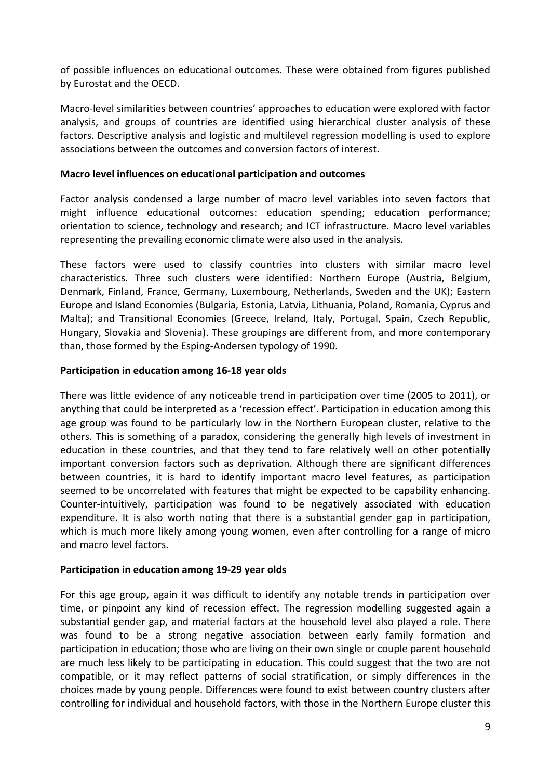of possible influences on educational outcomes. These were obtained from figures published by Eurostat and the OECD.

Macro‐level similarities between countries' approaches to education were explored with factor analysis, and groups of countries are identified using hierarchical cluster analysis of these factors. Descriptive analysis and logistic and multilevel regression modelling is used to explore associations between the outcomes and conversion factors of interest.

#### **Macro level influences on educational participation and outcomes**

Factor analysis condensed a large number of macro level variables into seven factors that might influence educational outcomes: education spending; education performance; orientation to science, technology and research; and ICT infrastructure. Macro level variables representing the prevailing economic climate were also used in the analysis.

These factors were used to classify countries into clusters with similar macro level characteristics. Three such clusters were identified: Northern Europe (Austria, Belgium, Denmark, Finland, France, Germany, Luxembourg, Netherlands, Sweden and the UK); Eastern Europe and Island Economies (Bulgaria, Estonia, Latvia, Lithuania, Poland, Romania, Cyprus and Malta); and Transitional Economies (Greece, Ireland, Italy, Portugal, Spain, Czech Republic, Hungary, Slovakia and Slovenia). These groupings are different from, and more contemporary than, those formed by the Esping‐Andersen typology of 1990.

#### **Participation in education among 16‐18 year olds**

There was little evidence of any noticeable trend in participation over time (2005 to 2011), or anything that could be interpreted as a 'recession effect'. Participation in education among this age group was found to be particularly low in the Northern European cluster, relative to the others. This is something of a paradox, considering the generally high levels of investment in education in these countries, and that they tend to fare relatively well on other potentially important conversion factors such as deprivation. Although there are significant differences between countries, it is hard to identify important macro level features, as participation seemed to be uncorrelated with features that might be expected to be capability enhancing. Counter‐intuitively, participation was found to be negatively associated with education expenditure. It is also worth noting that there is a substantial gender gap in participation, which is much more likely among young women, even after controlling for a range of micro and macro level factors.

#### **Participation in education among 19‐29 year olds**

For this age group, again it was difficult to identify any notable trends in participation over time, or pinpoint any kind of recession effect. The regression modelling suggested again a substantial gender gap, and material factors at the household level also played a role. There was found to be a strong negative association between early family formation and participation in education; those who are living on their own single or couple parent household are much less likely to be participating in education. This could suggest that the two are not compatible, or it may reflect patterns of social stratification, or simply differences in the choices made by young people. Differences were found to exist between country clusters after controlling for individual and household factors, with those in the Northern Europe cluster this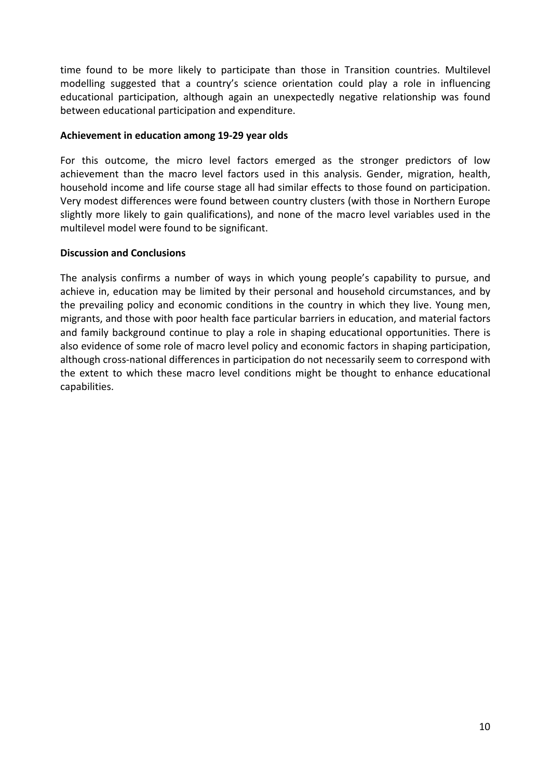time found to be more likely to participate than those in Transition countries. Multilevel modelling suggested that a country's science orientation could play a role in influencing educational participation, although again an unexpectedly negative relationship was found between educational participation and expenditure.

#### **Achievement in education among 19‐29 year olds**

For this outcome, the micro level factors emerged as the stronger predictors of low achievement than the macro level factors used in this analysis. Gender, migration, health, household income and life course stage all had similar effects to those found on participation. Very modest differences were found between country clusters (with those in Northern Europe slightly more likely to gain qualifications), and none of the macro level variables used in the multilevel model were found to be significant.

#### **Discussion and Conclusions**

The analysis confirms a number of ways in which young people's capability to pursue, and achieve in, education may be limited by their personal and household circumstances, and by the prevailing policy and economic conditions in the country in which they live. Young men, migrants, and those with poor health face particular barriers in education, and material factors and family background continue to play a role in shaping educational opportunities. There is also evidence of some role of macro level policy and economic factors in shaping participation, although cross‐national differences in participation do not necessarily seem to correspond with the extent to which these macro level conditions might be thought to enhance educational capabilities.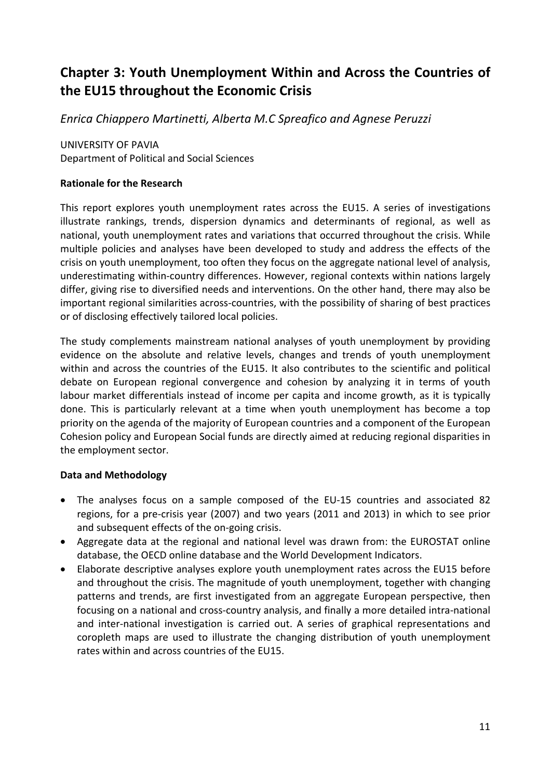# **Chapter 3: Youth Unemployment Within and Across the Countries of the EU15 throughout the Economic Crisis**

*Enrica Chiappero Martinetti, Alberta M.C Spreafico and Agnese Peruzzi* 

UNIVERSITY OF PAVIA Department of Political and Social Sciences

### **Rationale for the Research**

This report explores youth unemployment rates across the EU15. A series of investigations illustrate rankings, trends, dispersion dynamics and determinants of regional, as well as national, youth unemployment rates and variations that occurred throughout the crisis. While multiple policies and analyses have been developed to study and address the effects of the crisis on youth unemployment, too often they focus on the aggregate national level of analysis, underestimating within‐country differences. However, regional contexts within nations largely differ, giving rise to diversified needs and interventions. On the other hand, there may also be important regional similarities across-countries, with the possibility of sharing of best practices or of disclosing effectively tailored local policies.

The study complements mainstream national analyses of youth unemployment by providing evidence on the absolute and relative levels, changes and trends of youth unemployment within and across the countries of the EU15. It also contributes to the scientific and political debate on European regional convergence and cohesion by analyzing it in terms of youth labour market differentials instead of income per capita and income growth, as it is typically done. This is particularly relevant at a time when youth unemployment has become a top priority on the agenda of the majority of European countries and a component of the European Cohesion policy and European Social funds are directly aimed at reducing regional disparities in the employment sector.

### **Data and Methodology**

- The analyses focus on a sample composed of the EU‐15 countries and associated 82 regions, for a pre‐crisis year (2007) and two years (2011 and 2013) in which to see prior and subsequent effects of the on‐going crisis.
- Aggregate data at the regional and national level was drawn from: the EUROSTAT online database, the OECD online database and the World Development Indicators.
- Elaborate descriptive analyses explore youth unemployment rates across the EU15 before and throughout the crisis. The magnitude of youth unemployment, together with changing patterns and trends, are first investigated from an aggregate European perspective, then focusing on a national and cross‐country analysis, and finally a more detailed intra‐national and inter-national investigation is carried out. A series of graphical representations and coropleth maps are used to illustrate the changing distribution of youth unemployment rates within and across countries of the EU15.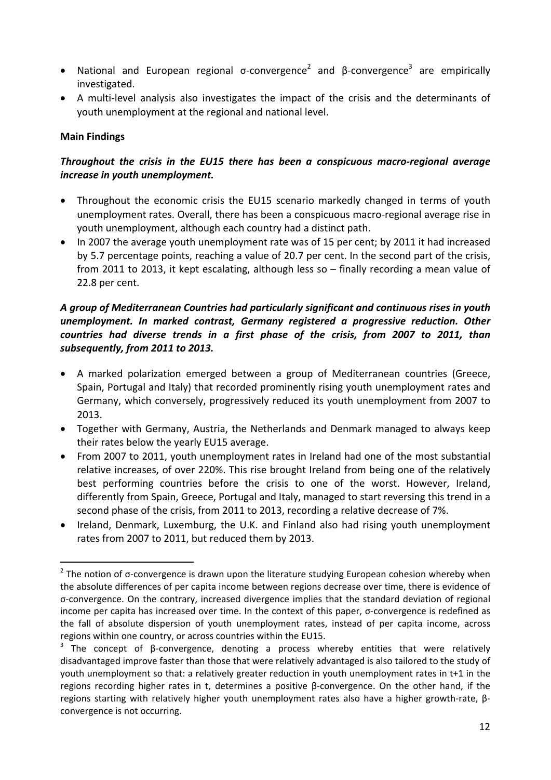- National and European regional  $\sigma$ -convergence<sup>2</sup> and  $\beta$ -convergence<sup>3</sup> are empirically investigated.
- A multi-level analysis also investigates the impact of the crisis and the determinants of youth unemployment at the regional and national level.

### **Main Findings**

# *Throughout the crisis in the EU15 there has been a conspicuous macro‐regional average increase in youth unemployment.*

- Throughout the economic crisis the EU15 scenario markedly changed in terms of youth unemployment rates. Overall, there has been a conspicuous macro‐regional average rise in youth unemployment, although each country had a distinct path.
- In 2007 the average youth unemployment rate was of 15 per cent; by 2011 it had increased by 5.7 percentage points, reaching a value of 20.7 per cent. In the second part of the crisis, from 2011 to 2013, it kept escalating, although less so – finally recording a mean value of 22.8 per cent.

# *A group of Mediterranean Countries had particularly significant and continuous rises in youth unemployment. In marked contrast, Germany registered a progressive reduction. Other countries had diverse trends in a first phase of the crisis, from 2007 to 2011, than subsequently, from 2011 to 2013.*

- A marked polarization emerged between a group of Mediterranean countries (Greece, Spain, Portugal and Italy) that recorded prominently rising youth unemployment rates and Germany, which conversely, progressively reduced its youth unemployment from 2007 to 2013.
- Together with Germany, Austria, the Netherlands and Denmark managed to always keep their rates below the yearly EU15 average.
- From 2007 to 2011, youth unemployment rates in Ireland had one of the most substantial relative increases, of over 220%. This rise brought Ireland from being one of the relatively best performing countries before the crisis to one of the worst. However, Ireland, differently from Spain, Greece, Portugal and Italy, managed to start reversing this trend in a second phase of the crisis, from 2011 to 2013, recording a relative decrease of 7%.
- Ireland, Denmark, Luxemburg, the U.K. and Finland also had rising youth unemployment rates from 2007 to 2011, but reduced them by 2013.

  $2$  The notion of σ-convergence is drawn upon the literature studying European cohesion whereby when the absolute differences of per capita income between regions decrease over time, there is evidence of σ‐convergence. On the contrary, increased divergence implies that the standard deviation of regional income per capita has increased over time. In the context of this paper, σ-convergence is redefined as the fall of absolute dispersion of youth unemployment rates, instead of per capita income, across regions within one country, or across countries within the EU15.

<sup>&</sup>lt;sup>3</sup> The concept of  $\beta$ -convergence, denoting a process whereby entities that were relatively disadvantaged improve faster than those that were relatively advantaged is also tailored to the study of youth unemployment so that: a relatively greater reduction in youth unemployment rates in t+1 in the regions recording higher rates in t, determines a positive β‐convergence. On the other hand, if the regions starting with relatively higher youth unemployment rates also have a higher growth‐rate, β‐ convergence is not occurring.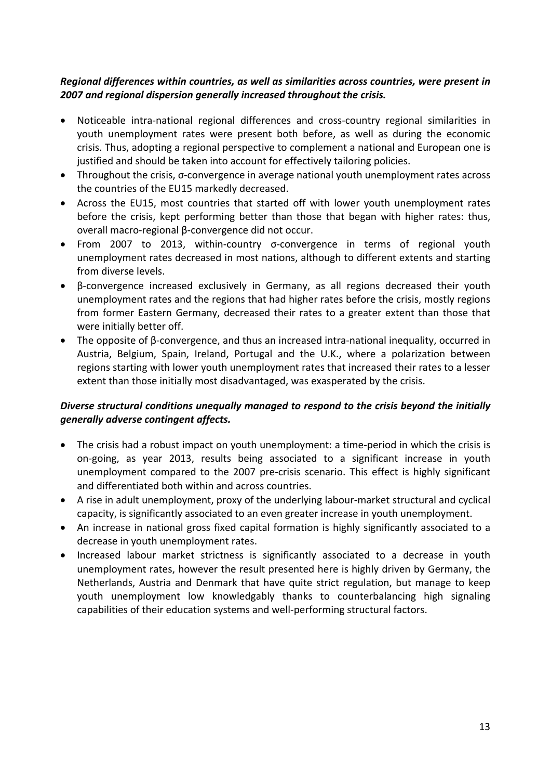### *Regional differences within countries, as well as similarities across countries, were present in 2007 and regional dispersion generally increased throughout the crisis.*

- Noticeable intra‐national regional differences and cross‐country regional similarities in youth unemployment rates were present both before, as well as during the economic crisis. Thus, adopting a regional perspective to complement a national and European one is justified and should be taken into account for effectively tailoring policies.
- Throughout the crisis, σ‐convergence in average national youth unemployment rates across the countries of the EU15 markedly decreased.
- Across the EU15, most countries that started off with lower youth unemployment rates before the crisis, kept performing better than those that began with higher rates: thus, overall macro‐regional β‐convergence did not occur.
- From 2007 to 2013, within-country σ-convergence in terms of regional youth unemployment rates decreased in most nations, although to different extents and starting from diverse levels.
- β‐convergence increased exclusively in Germany, as all regions decreased their youth unemployment rates and the regions that had higher rates before the crisis, mostly regions from former Eastern Germany, decreased their rates to a greater extent than those that were initially better off.
- The opposite of β‐convergence, and thus an increased intra‐national inequality, occurred in Austria, Belgium, Spain, Ireland, Portugal and the U.K., where a polarization between regions starting with lower youth unemployment rates that increased their rates to a lesser extent than those initially most disadvantaged, was exasperated by the crisis.

# *Diverse structural conditions unequally managed to respond to the crisis beyond the initially generally adverse contingent affects.*

- The crisis had a robust impact on youth unemployment: a time‐period in which the crisis is on‐going, as year 2013, results being associated to a significant increase in youth unemployment compared to the 2007 pre‐crisis scenario. This effect is highly significant and differentiated both within and across countries.
- A rise in adult unemployment, proxy of the underlying labour‐market structural and cyclical capacity, is significantly associated to an even greater increase in youth unemployment.
- An increase in national gross fixed capital formation is highly significantly associated to a decrease in youth unemployment rates.
- Increased labour market strictness is significantly associated to a decrease in youth unemployment rates, however the result presented here is highly driven by Germany, the Netherlands, Austria and Denmark that have quite strict regulation, but manage to keep youth unemployment low knowledgably thanks to counterbalancing high signaling capabilities of their education systems and well‐performing structural factors.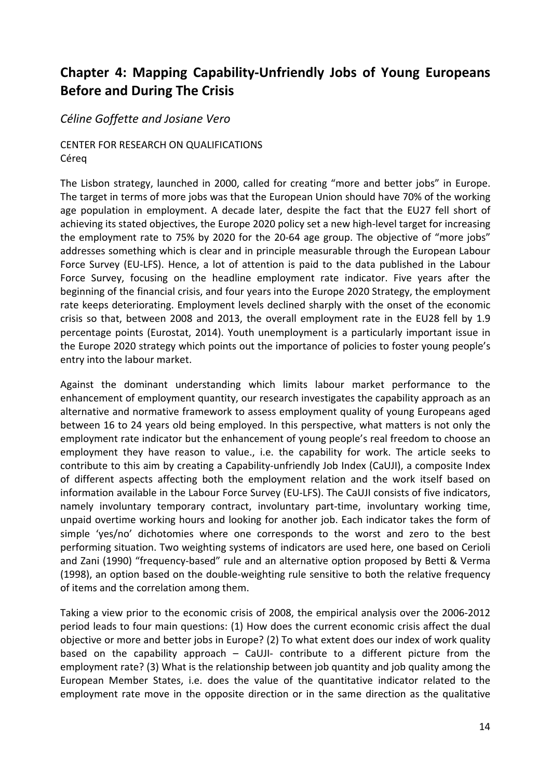# **Chapter 4: Mapping Capability‐Unfriendly Jobs of Young Europeans Before and During The Crisis**

# *Céline Goffette and Josiane Vero*

# CENTER FOR RESEARCH ON QUALIFICATIONS Céreq

The Lisbon strategy, launched in 2000, called for creating "more and better jobs" in Europe. The target in terms of more jobs was that the European Union should have 70% of the working age population in employment. A decade later, despite the fact that the EU27 fell short of achieving its stated objectives, the Europe 2020 policy set a new high‐level target for increasing the employment rate to 75% by 2020 for the 20-64 age group. The objective of "more jobs" addresses something which is clear and in principle measurable through the European Labour Force Survey (EU-LFS). Hence, a lot of attention is paid to the data published in the Labour Force Survey, focusing on the headline employment rate indicator. Five years after the beginning of the financial crisis, and four years into the Europe 2020 Strategy, the employment rate keeps deteriorating. Employment levels declined sharply with the onset of the economic crisis so that, between 2008 and 2013, the overall employment rate in the EU28 fell by 1.9 percentage points (Eurostat, 2014). Youth unemployment is a particularly important issue in the Europe 2020 strategy which points out the importance of policies to foster young people's entry into the labour market.

Against the dominant understanding which limits labour market performance to the enhancement of employment quantity, our research investigates the capability approach as an alternative and normative framework to assess employment quality of young Europeans aged between 16 to 24 years old being employed. In this perspective, what matters is not only the employment rate indicator but the enhancement of young people's real freedom to choose an employment they have reason to value., i.e. the capability for work. The article seeks to contribute to this aim by creating a Capability‐unfriendly Job Index (CaUJI), a composite Index of different aspects affecting both the employment relation and the work itself based on information available in the Labour Force Survey (EU‐LFS). The CaUJI consists of five indicators, namely involuntary temporary contract, involuntary part‐time, involuntary working time, unpaid overtime working hours and looking for another job. Each indicator takes the form of simple 'yes/no' dichotomies where one corresponds to the worst and zero to the best performing situation. Two weighting systems of indicators are used here, one based on Cerioli and Zani (1990) "frequency-based" rule and an alternative option proposed by Betti & Verma (1998), an option based on the double‐weighting rule sensitive to both the relative frequency of items and the correlation among them.

Taking a view prior to the economic crisis of 2008, the empirical analysis over the 2006‐2012 period leads to four main questions: (1) How does the current economic crisis affect the dual objective or more and better jobs in Europe? (2) To what extent does our index of work quality based on the capability approach  $-$  CaUJI $-$  contribute to a different picture from the employment rate? (3) What is the relationship between job quantity and job quality among the European Member States, i.e. does the value of the quantitative indicator related to the employment rate move in the opposite direction or in the same direction as the qualitative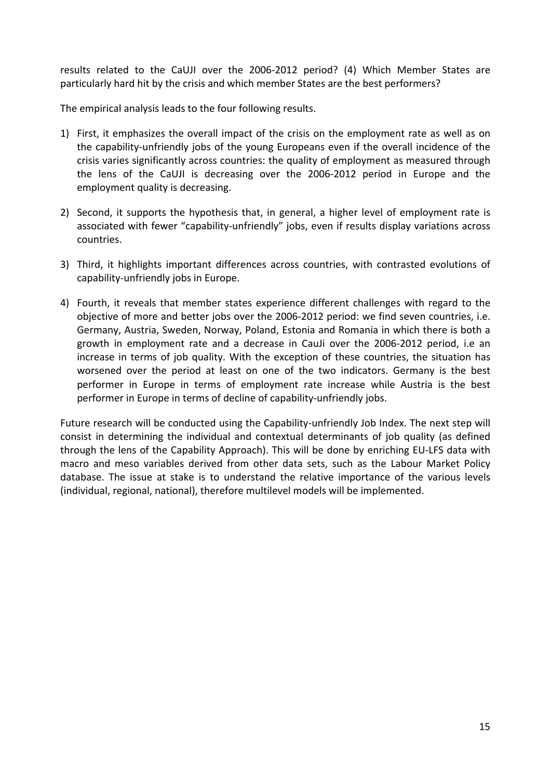results related to the CaUJI over the 2006‐2012 period? (4) Which Member States are particularly hard hit by the crisis and which member States are the best performers?

The empirical analysis leads to the four following results.

- 1) First, it emphasizes the overall impact of the crisis on the employment rate as well as on the capability‐unfriendly jobs of the young Europeans even if the overall incidence of the crisis varies significantly across countries: the quality of employment as measured through the lens of the CaUJI is decreasing over the 2006‐2012 period in Europe and the employment quality is decreasing.
- 2) Second, it supports the hypothesis that, in general, a higher level of employment rate is associated with fewer "capability‐unfriendly" jobs, even if results display variations across countries.
- 3) Third, it highlights important differences across countries, with contrasted evolutions of capability‐unfriendly jobs in Europe.
- 4) Fourth, it reveals that member states experience different challenges with regard to the objective of more and better jobs over the 2006‐2012 period: we find seven countries, i.e. Germany, Austria, Sweden, Norway, Poland, Estonia and Romania in which there is both a growth in employment rate and a decrease in CauJi over the 2006‐2012 period, i.e an increase in terms of job quality. With the exception of these countries, the situation has worsened over the period at least on one of the two indicators. Germany is the best performer in Europe in terms of employment rate increase while Austria is the best performer in Europe in terms of decline of capability‐unfriendly jobs.

Future research will be conducted using the Capability-unfriendly Job Index. The next step will consist in determining the individual and contextual determinants of job quality (as defined through the lens of the Capability Approach). This will be done by enriching EU‐LFS data with macro and meso variables derived from other data sets, such as the Labour Market Policy database. The issue at stake is to understand the relative importance of the various levels (individual, regional, national), therefore multilevel models will be implemented.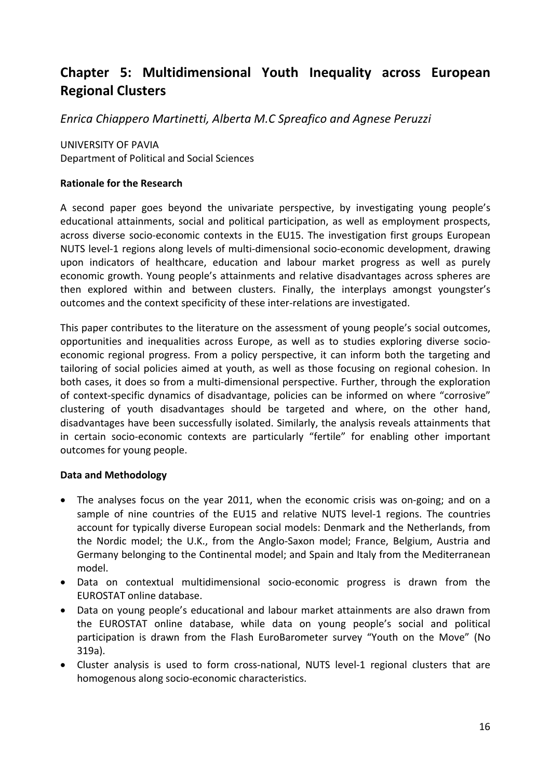# **Chapter 5: Multidimensional Youth Inequality across European Regional Clusters**

*Enrica Chiappero Martinetti, Alberta M.C Spreafico and Agnese Peruzzi* 

UNIVERSITY OF PAVIA Department of Political and Social Sciences

#### **Rationale for the Research**

A second paper goes beyond the univariate perspective, by investigating young people's educational attainments, social and political participation, as well as employment prospects, across diverse socio‐economic contexts in the EU15. The investigation first groups European NUTS level‐1 regions along levels of multi‐dimensional socio‐economic development, drawing upon indicators of healthcare, education and labour market progress as well as purely economic growth. Young people's attainments and relative disadvantages across spheres are then explored within and between clusters. Finally, the interplays amongst youngster's outcomes and the context specificity of these inter-relations are investigated.

This paper contributes to the literature on the assessment of young people's social outcomes, opportunities and inequalities across Europe, as well as to studies exploring diverse socio‐ economic regional progress. From a policy perspective, it can inform both the targeting and tailoring of social policies aimed at youth, as well as those focusing on regional cohesion. In both cases, it does so from a multi-dimensional perspective. Further, through the exploration of context‐specific dynamics of disadvantage, policies can be informed on where "corrosive" clustering of youth disadvantages should be targeted and where, on the other hand, disadvantages have been successfully isolated. Similarly, the analysis reveals attainments that in certain socio‐economic contexts are particularly "fertile" for enabling other important outcomes for young people.

#### **Data and Methodology**

- The analyses focus on the year 2011, when the economic crisis was on‐going; and on a sample of nine countries of the EU15 and relative NUTS level‐1 regions. The countries account for typically diverse European social models: Denmark and the Netherlands, from the Nordic model; the U.K., from the Anglo‐Saxon model; France, Belgium, Austria and Germany belonging to the Continental model; and Spain and Italy from the Mediterranean model.
- Data on contextual multidimensional socio-economic progress is drawn from the EUROSTAT online database.
- Data on young people's educational and labour market attainments are also drawn from the EUROSTAT online database, while data on young people's social and political participation is drawn from the Flash EuroBarometer survey "Youth on the Move" (No 319a).
- Cluster analysis is used to form cross‐national, NUTS level‐1 regional clusters that are homogenous along socio‐economic characteristics.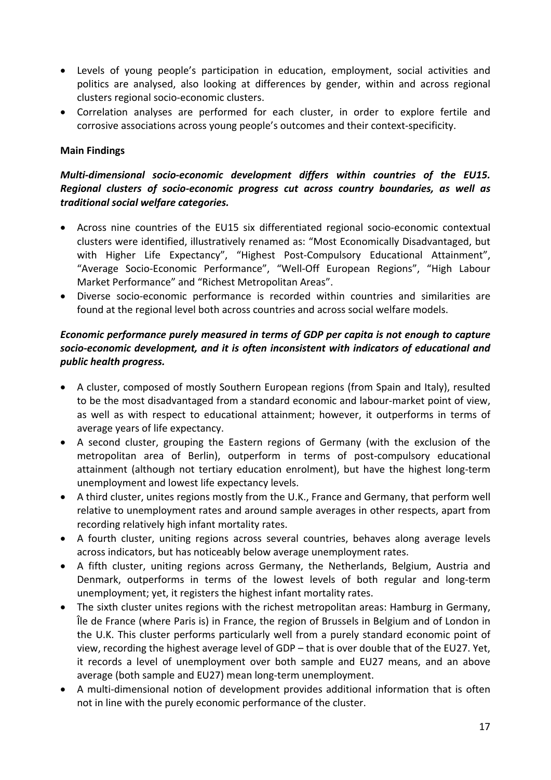- Levels of young people's participation in education, employment, social activities and politics are analysed, also looking at differences by gender, within and across regional clusters regional socio‐economic clusters.
- Correlation analyses are performed for each cluster, in order to explore fertile and corrosive associations across young people's outcomes and their context‐specificity.

# **Main Findings**

### *Multi‐dimensional socio‐economic development differs within countries of the EU15. Regional clusters of socio‐economic progress cut across country boundaries, as well as traditional social welfare categories.*

- Across nine countries of the EU15 six differentiated regional socio-economic contextual clusters were identified, illustratively renamed as: "Most Economically Disadvantaged, but with Higher Life Expectancy", "Highest Post-Compulsory Educational Attainment", "Average Socio‐Economic Performance", "Well‐Off European Regions", "High Labour Market Performance" and "Richest Metropolitan Areas".
- Diverse socio‐economic performance is recorded within countries and similarities are found at the regional level both across countries and across social welfare models.

# *Economic performance purely measured in terms of GDP per capita is not enough to capture socio‐economic development, and it is often inconsistent with indicators of educational and public health progress.*

- A cluster, composed of mostly Southern European regions (from Spain and Italy), resulted to be the most disadvantaged from a standard economic and labour‐market point of view, as well as with respect to educational attainment; however, it outperforms in terms of average years of life expectancy.
- A second cluster, grouping the Eastern regions of Germany (with the exclusion of the metropolitan area of Berlin), outperform in terms of post-compulsory educational attainment (although not tertiary education enrolment), but have the highest long‐term unemployment and lowest life expectancy levels.
- A third cluster, unites regions mostly from the U.K., France and Germany, that perform well relative to unemployment rates and around sample averages in other respects, apart from recording relatively high infant mortality rates.
- A fourth cluster, uniting regions across several countries, behaves along average levels across indicators, but has noticeably below average unemployment rates.
- A fifth cluster, uniting regions across Germany, the Netherlands, Belgium, Austria and Denmark, outperforms in terms of the lowest levels of both regular and long‐term unemployment; yet, it registers the highest infant mortality rates.
- The sixth cluster unites regions with the richest metropolitan areas: Hamburg in Germany, Île de France (where Paris is) in France, the region of Brussels in Belgium and of London in the U.K. This cluster performs particularly well from a purely standard economic point of view, recording the highest average level of GDP – that is over double that of the EU27. Yet, it records a level of unemployment over both sample and EU27 means, and an above average (both sample and EU27) mean long‐term unemployment.
- A multi-dimensional notion of development provides additional information that is often not in line with the purely economic performance of the cluster.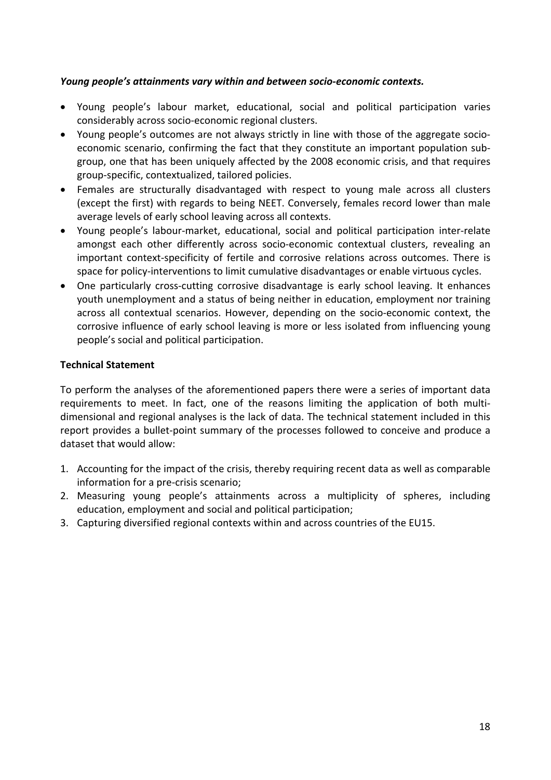#### *Young people's attainments vary within and between socio‐economic contexts.*

- Young people's labour market, educational, social and political participation varies considerably across socio‐economic regional clusters.
- Young people's outcomes are not always strictly in line with those of the aggregate socioeconomic scenario, confirming the fact that they constitute an important population subgroup, one that has been uniquely affected by the 2008 economic crisis, and that requires group‐specific, contextualized, tailored policies.
- Females are structurally disadvantaged with respect to young male across all clusters (except the first) with regards to being NEET. Conversely, females record lower than male average levels of early school leaving across all contexts.
- Young people's labour‐market, educational, social and political participation inter‐relate amongst each other differently across socio‐economic contextual clusters, revealing an important context-specificity of fertile and corrosive relations across outcomes. There is space for policy‐interventions to limit cumulative disadvantages or enable virtuous cycles.
- One particularly cross-cutting corrosive disadvantage is early school leaving. It enhances youth unemployment and a status of being neither in education, employment nor training across all contextual scenarios. However, depending on the socio‐economic context, the corrosive influence of early school leaving is more or less isolated from influencing young people's social and political participation.

#### **Technical Statement**

To perform the analyses of the aforementioned papers there were a series of important data requirements to meet. In fact, one of the reasons limiting the application of both multidimensional and regional analyses is the lack of data. The technical statement included in this report provides a bullet‐point summary of the processes followed to conceive and produce a dataset that would allow:

- 1. Accounting for the impact of the crisis, thereby requiring recent data as well as comparable information for a pre‐crisis scenario;
- 2. Measuring young people's attainments across a multiplicity of spheres, including education, employment and social and political participation;
- 3. Capturing diversified regional contexts within and across countries of the EU15.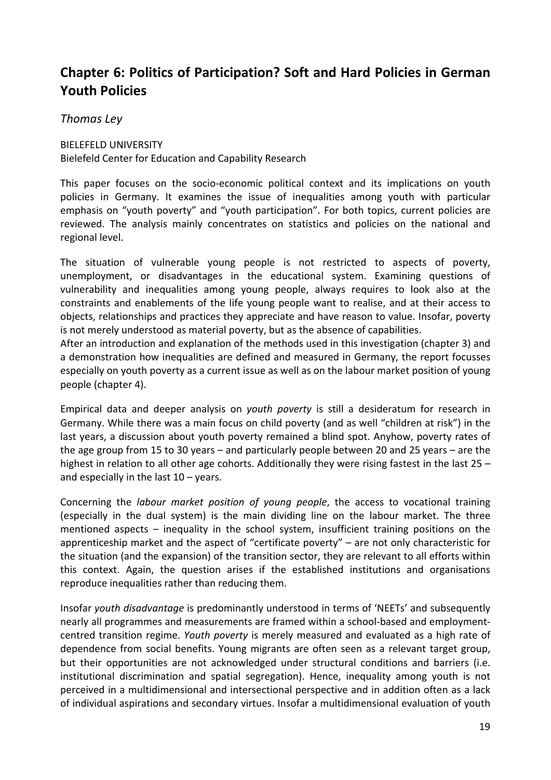# **Chapter 6: Politics of Participation? Soft and Hard Policies in German Youth Policies**

# *Thomas Ley*

BIELEFELD UNIVERSITY Bielefeld Center for Education and Capability Research

This paper focuses on the socio-economic political context and its implications on youth policies in Germany. It examines the issue of inequalities among youth with particular emphasis on "youth poverty" and "youth participation". For both topics, current policies are reviewed. The analysis mainly concentrates on statistics and policies on the national and regional level.

The situation of vulnerable young people is not restricted to aspects of poverty, unemployment, or disadvantages in the educational system. Examining questions of vulnerability and inequalities among young people, always requires to look also at the constraints and enablements of the life young people want to realise, and at their access to objects, relationships and practices they appreciate and have reason to value. Insofar, poverty is not merely understood as material poverty, but as the absence of capabilities.

After an introduction and explanation of the methods used in this investigation (chapter 3) and a demonstration how inequalities are defined and measured in Germany, the report focusses especially on youth poverty as a current issue as well as on the labour market position of young people (chapter 4).

Empirical data and deeper analysis on *youth poverty* is still a desideratum for research in Germany. While there was a main focus on child poverty (and as well "children at risk") in the last years, a discussion about youth poverty remained a blind spot. Anyhow, poverty rates of the age group from 15 to 30 years – and particularly people between 20 and 25 years – are the highest in relation to all other age cohorts. Additionally they were rising fastest in the last 25 – and especially in the last  $10 - \text{years}$ .

Concerning the *labour market position of young people*, the access to vocational training (especially in the dual system) is the main dividing line on the labour market. The three mentioned aspects – inequality in the school system, insufficient training positions on the apprenticeship market and the aspect of "certificate poverty" – are not only characteristic for the situation (and the expansion) of the transition sector, they are relevant to all efforts within this context. Again, the question arises if the established institutions and organisations reproduce inequalities rather than reducing them.

Insofar *youth disadvantage* is predominantly understood in terms of 'NEETs' and subsequently nearly all programmes and measurements are framed within a school‐based and employment‐ centred transition regime. *Youth poverty* is merely measured and evaluated as a high rate of dependence from social benefits. Young migrants are often seen as a relevant target group, but their opportunities are not acknowledged under structural conditions and barriers (i.e. institutional discrimination and spatial segregation). Hence, inequality among youth is not perceived in a multidimensional and intersectional perspective and in addition often as a lack of individual aspirations and secondary virtues. Insofar a multidimensional evaluation of youth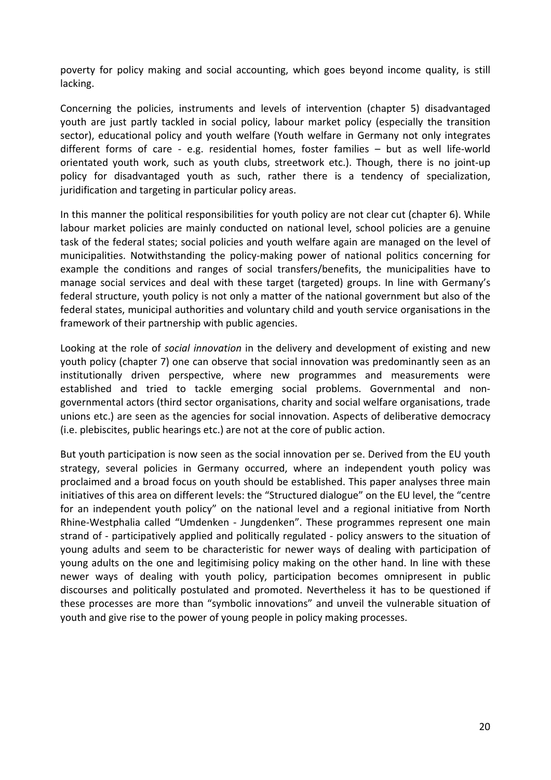poverty for policy making and social accounting, which goes beyond income quality, is still lacking.

Concerning the policies, instruments and levels of intervention (chapter 5) disadvantaged youth are just partly tackled in social policy, labour market policy (especially the transition sector), educational policy and youth welfare (Youth welfare in Germany not only integrates different forms of care - e.g. residential homes, foster families – but as well life-world orientated youth work, such as youth clubs, streetwork etc.). Though, there is no joint‐up policy for disadvantaged youth as such, rather there is a tendency of specialization, juridification and targeting in particular policy areas.

In this manner the political responsibilities for youth policy are not clear cut (chapter 6). While labour market policies are mainly conducted on national level, school policies are a genuine task of the federal states; social policies and youth welfare again are managed on the level of municipalities. Notwithstanding the policy‐making power of national politics concerning for example the conditions and ranges of social transfers/benefits, the municipalities have to manage social services and deal with these target (targeted) groups. In line with Germany's federal structure, youth policy is not only a matter of the national government but also of the federal states, municipal authorities and voluntary child and youth service organisations in the framework of their partnership with public agencies.

Looking at the role of *social innovation* in the delivery and development of existing and new youth policy (chapter 7) one can observe that social innovation was predominantly seen as an institutionally driven perspective, where new programmes and measurements were established and tried to tackle emerging social problems. Governmental and non‐ governmental actors (third sector organisations, charity and social welfare organisations, trade unions etc.) are seen as the agencies for social innovation. Aspects of deliberative democracy (i.e. plebiscites, public hearings etc.) are not at the core of public action.

But youth participation is now seen as the social innovation per se. Derived from the EU youth strategy, several policies in Germany occurred, where an independent youth policy was proclaimed and a broad focus on youth should be established. This paper analyses three main initiatives of this area on different levels: the "Structured dialogue" on the EU level, the "centre for an independent youth policy" on the national level and a regional initiative from North Rhine‐Westphalia called "Umdenken ‐ Jungdenken". These programmes represent one main strand of ‐ participatively applied and politically regulated ‐ policy answers to the situation of young adults and seem to be characteristic for newer ways of dealing with participation of young adults on the one and legitimising policy making on the other hand. In line with these newer ways of dealing with youth policy, participation becomes omnipresent in public discourses and politically postulated and promoted. Nevertheless it has to be questioned if these processes are more than "symbolic innovations" and unveil the vulnerable situation of youth and give rise to the power of young people in policy making processes.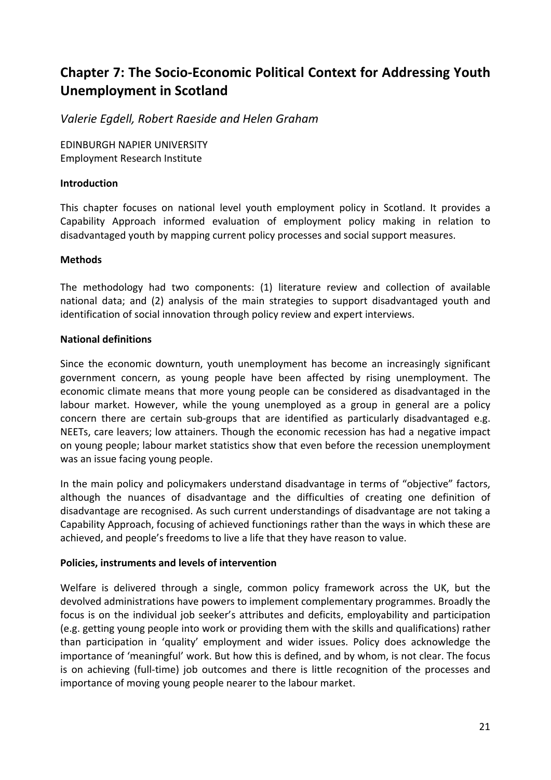# **Chapter 7: The Socio‐Economic Political Context for Addressing Youth Unemployment in Scotland**

*Valerie Egdell, Robert Raeside and Helen Graham*

EDINBURGH NAPIER UNIVERSITY Employment Research Institute

#### **Introduction**

This chapter focuses on national level youth employment policy in Scotland. It provides a Capability Approach informed evaluation of employment policy making in relation to disadvantaged youth by mapping current policy processes and social support measures.

#### **Methods**

The methodology had two components: (1) literature review and collection of available national data; and (2) analysis of the main strategies to support disadvantaged youth and identification of social innovation through policy review and expert interviews.

### **National definitions**

Since the economic downturn, youth unemployment has become an increasingly significant government concern, as young people have been affected by rising unemployment. The economic climate means that more young people can be considered as disadvantaged in the labour market. However, while the young unemployed as a group in general are a policy concern there are certain sub-groups that are identified as particularly disadvantaged e.g. NEETs, care leavers; low attainers. Though the economic recession has had a negative impact on young people; labour market statistics show that even before the recession unemployment was an issue facing young people.

In the main policy and policymakers understand disadvantage in terms of "objective" factors, although the nuances of disadvantage and the difficulties of creating one definition of disadvantage are recognised. As such current understandings of disadvantage are not taking a Capability Approach, focusing of achieved functionings rather than the ways in which these are achieved, and people's freedoms to live a life that they have reason to value.

### **Policies, instruments and levels of intervention**

Welfare is delivered through a single, common policy framework across the UK, but the devolved administrations have powers to implement complementary programmes. Broadly the focus is on the individual job seeker's attributes and deficits, employability and participation (e.g. getting young people into work or providing them with the skills and qualifications) rather than participation in 'quality' employment and wider issues. Policy does acknowledge the importance of 'meaningful' work. But how this is defined, and by whom, is not clear. The focus is on achieving (full-time) job outcomes and there is little recognition of the processes and importance of moving young people nearer to the labour market.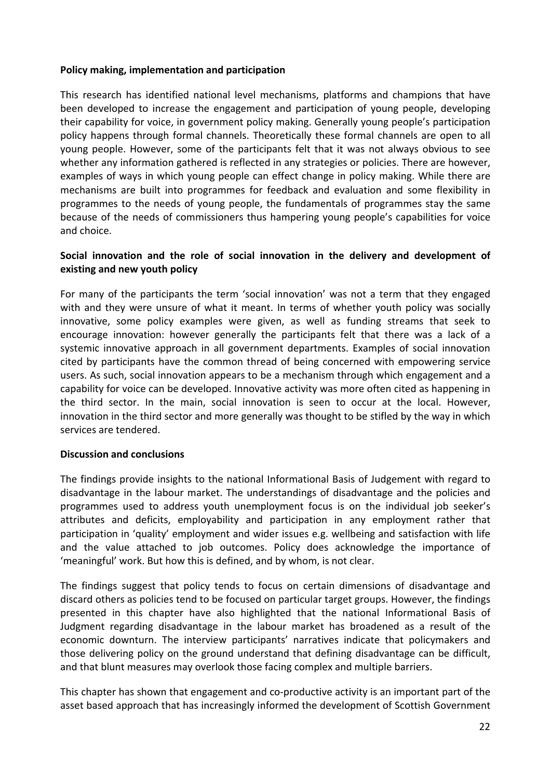#### **Policy making, implementation and participation**

This research has identified national level mechanisms, platforms and champions that have been developed to increase the engagement and participation of young people, developing their capability for voice, in government policy making. Generally young people's participation policy happens through formal channels. Theoretically these formal channels are open to all young people. However, some of the participants felt that it was not always obvious to see whether any information gathered is reflected in any strategies or policies. There are however, examples of ways in which young people can effect change in policy making. While there are mechanisms are built into programmes for feedback and evaluation and some flexibility in programmes to the needs of young people, the fundamentals of programmes stay the same because of the needs of commissioners thus hampering young people's capabilities for voice and choice.

### **Social innovation and the role of social innovation in the delivery and development of existing and new youth policy**

For many of the participants the term 'social innovation' was not a term that they engaged with and they were unsure of what it meant. In terms of whether youth policy was socially innovative, some policy examples were given, as well as funding streams that seek to encourage innovation: however generally the participants felt that there was a lack of a systemic innovative approach in all government departments. Examples of social innovation cited by participants have the common thread of being concerned with empowering service users. As such, social innovation appears to be a mechanism through which engagement and a capability for voice can be developed. Innovative activity was more often cited as happening in the third sector. In the main, social innovation is seen to occur at the local. However, innovation in the third sector and more generally was thought to be stifled by the way in which services are tendered.

#### **Discussion and conclusions**

The findings provide insights to the national Informational Basis of Judgement with regard to disadvantage in the labour market. The understandings of disadvantage and the policies and programmes used to address youth unemployment focus is on the individual job seeker's attributes and deficits, employability and participation in any employment rather that participation in 'quality' employment and wider issues e.g. wellbeing and satisfaction with life and the value attached to job outcomes. Policy does acknowledge the importance of 'meaningful' work. But how this is defined, and by whom, is not clear.

The findings suggest that policy tends to focus on certain dimensions of disadvantage and discard others as policies tend to be focused on particular target groups. However, the findings presented in this chapter have also highlighted that the national Informational Basis of Judgment regarding disadvantage in the labour market has broadened as a result of the economic downturn. The interview participants' narratives indicate that policymakers and those delivering policy on the ground understand that defining disadvantage can be difficult, and that blunt measures may overlook those facing complex and multiple barriers.

This chapter has shown that engagement and co-productive activity is an important part of the asset based approach that has increasingly informed the development of Scottish Government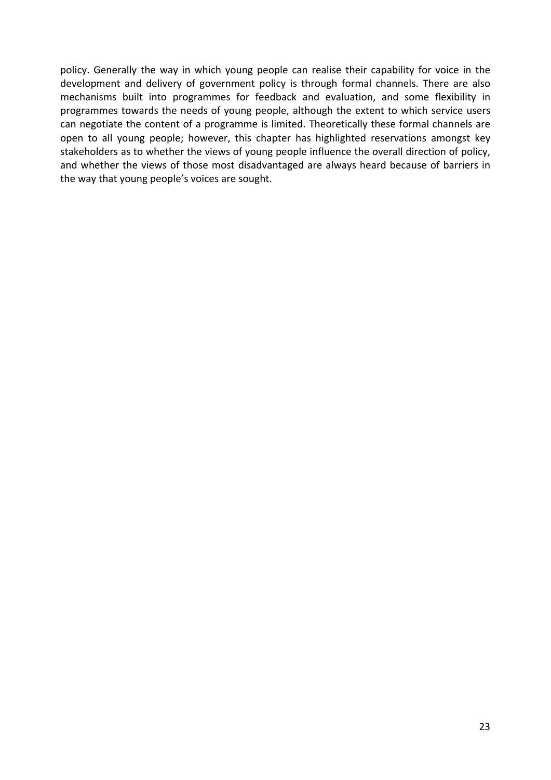policy. Generally the way in which young people can realise their capability for voice in the development and delivery of government policy is through formal channels. There are also mechanisms built into programmes for feedback and evaluation, and some flexibility in programmes towards the needs of young people, although the extent to which service users can negotiate the content of a programme is limited. Theoretically these formal channels are open to all young people; however, this chapter has highlighted reservations amongst key stakeholders as to whether the views of young people influence the overall direction of policy, and whether the views of those most disadvantaged are always heard because of barriers in the way that young people's voices are sought.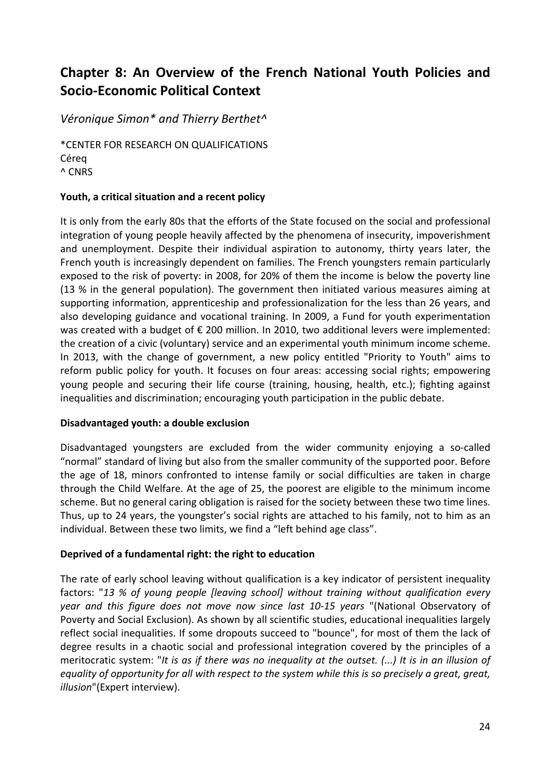# **Chapter 8: An Overview of the French National Youth Policies and Socio‐Economic Political Context**

# *Véronique Simon\* and Thierry Berthet^*

\*CENTER FOR RESEARCH ON QUALIFICATIONS Céreq ^ CNRS

### **Youth, a critical situation and a recent policy**

It is only from the early 80s that the efforts of the State focused on the social and professional integration of young people heavily affected by the phenomena of insecurity, impoverishment and unemployment. Despite their individual aspiration to autonomy, thirty years later, the French youth is increasingly dependent on families. The French youngsters remain particularly exposed to the risk of poverty: in 2008, for 20% of them the income is below the poverty line (13 % in the general population). The government then initiated various measures aiming at supporting information, apprenticeship and professionalization for the less than 26 years, and also developing guidance and vocational training. In 2009, a Fund for youth experimentation was created with a budget of € 200 million. In 2010, two additional levers were implemented: the creation of a civic (voluntary) service and an experimental youth minimum income scheme. In 2013, with the change of government, a new policy entitled "Priority to Youth" aims to reform public policy for youth. It focuses on four areas: accessing social rights; empowering young people and securing their life course (training, housing, health, etc.); fighting against inequalities and discrimination; encouraging youth participation in the public debate.

### **Disadvantaged youth: a double exclusion**

Disadvantaged youngsters are excluded from the wider community enjoying a so-called "normal" standard of living but also from the smaller community of the supported poor. Before the age of 18, minors confronted to intense family or social difficulties are taken in charge through the Child Welfare. At the age of 25, the poorest are eligible to the minimum income scheme. But no general caring obligation is raised for the society between these two time lines. Thus, up to 24 years, the youngster's social rights are attached to his family, not to him as an individual. Between these two limits, we find a "left behind age class".

#### **Deprived of a fundamental right: the right to education**

The rate of early school leaving without qualification is a key indicator of persistent inequality factors: "*13 % of young people [leaving school] without training without qualification every year and this figure does not move now since last 10‐15 years* "(National Observatory of Poverty and Social Exclusion). As shown by all scientific studies, educational inequalities largely reflect social inequalities. If some dropouts succeed to "bounce", for most of them the lack of degree results in a chaotic social and professional integration covered by the principles of a meritocratic system: "It is as if there was no inequality at the outset.  $(...)$  It is in an illusion of equality of opportunity for all with respect to the system while this is so precisely a great, great, *illusion*"(Expert interview).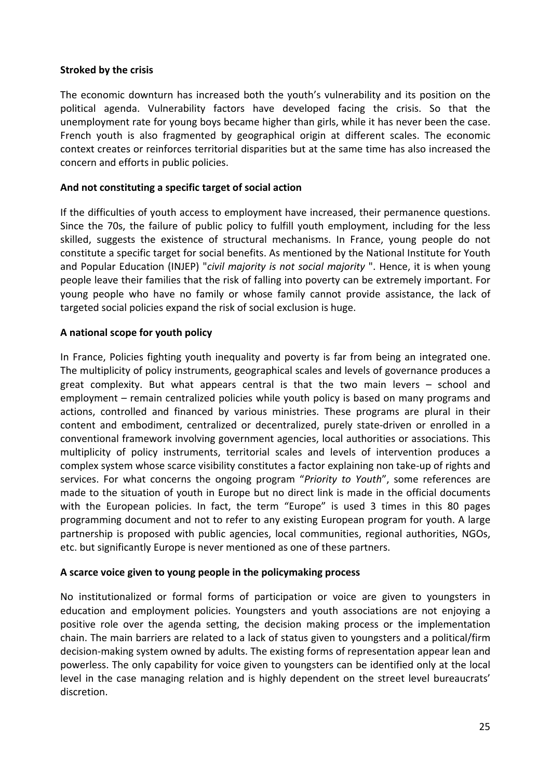#### **Stroked by the crisis**

The economic downturn has increased both the youth's vulnerability and its position on the political agenda. Vulnerability factors have developed facing the crisis. So that the unemployment rate for young boys became higher than girls, while it has never been the case. French youth is also fragmented by geographical origin at different scales. The economic context creates or reinforces territorial disparities but at the same time has also increased the concern and efforts in public policies.

#### **And not constituting a specific target of social action**

If the difficulties of youth access to employment have increased, their permanence questions. Since the 70s, the failure of public policy to fulfill youth employment, including for the less skilled, suggests the existence of structural mechanisms. In France, young people do not constitute a specific target for social benefits. As mentioned by the National Institute for Youth and Popular Education (INJEP) "*civil majority is not social majority* ". Hence, it is when young people leave their families that the risk of falling into poverty can be extremely important. For young people who have no family or whose family cannot provide assistance, the lack of targeted social policies expand the risk of social exclusion is huge.

### **A national scope for youth policy**

In France, Policies fighting youth inequality and poverty is far from being an integrated one. The multiplicity of policy instruments, geographical scales and levels of governance produces a great complexity. But what appears central is that the two main levers – school and employment – remain centralized policies while youth policy is based on many programs and actions, controlled and financed by various ministries. These programs are plural in their content and embodiment, centralized or decentralized, purely state‐driven or enrolled in a conventional framework involving government agencies, local authorities or associations. This multiplicity of policy instruments, territorial scales and levels of intervention produces a complex system whose scarce visibility constitutes a factor explaining non take‐up of rights and services. For what concerns the ongoing program "*Priority to Youth*", some references are made to the situation of youth in Europe but no direct link is made in the official documents with the European policies. In fact, the term "Europe" is used 3 times in this 80 pages programming document and not to refer to any existing European program for youth. A large partnership is proposed with public agencies, local communities, regional authorities, NGOs, etc. but significantly Europe is never mentioned as one of these partners.

#### **A scarce voice given to young people in the policymaking process**

No institutionalized or formal forms of participation or voice are given to youngsters in education and employment policies. Youngsters and youth associations are not enjoying a positive role over the agenda setting, the decision making process or the implementation chain. The main barriers are related to a lack of status given to youngsters and a political/firm decision‐making system owned by adults. The existing forms of representation appear lean and powerless. The only capability for voice given to youngsters can be identified only at the local level in the case managing relation and is highly dependent on the street level bureaucrats' discretion.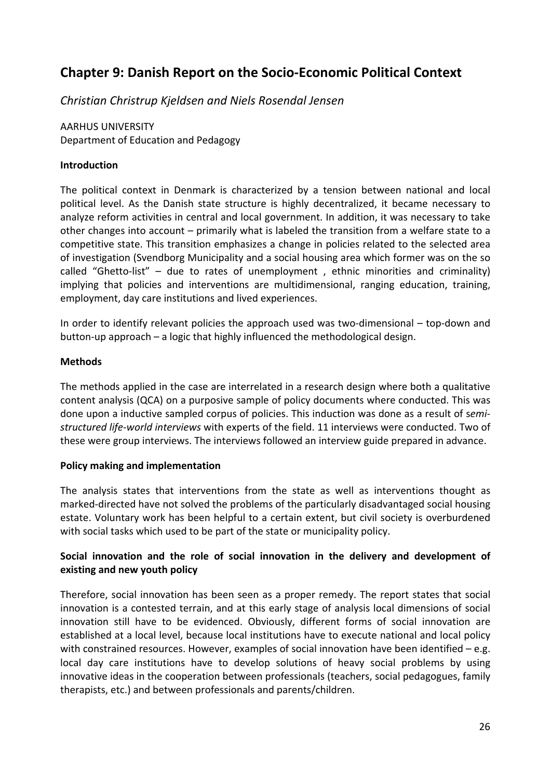# **Chapter 9: Danish Report on the Socio‐Economic Political Context**

*Christian Christrup Kjeldsen and Niels Rosendal Jensen*

AARHUS UNIVERSITY Department of Education and Pedagogy

#### **Introduction**

The political context in Denmark is characterized by a tension between national and local political level. As the Danish state structure is highly decentralized, it became necessary to analyze reform activities in central and local government. In addition, it was necessary to take other changes into account – primarily what is labeled the transition from a welfare state to a competitive state. This transition emphasizes a change in policies related to the selected area of investigation (Svendborg Municipality and a social housing area which former was on the so called "Ghetto-list" – due to rates of unemployment, ethnic minorities and criminality) implying that policies and interventions are multidimensional, ranging education, training, employment, day care institutions and lived experiences.

In order to identify relevant policies the approach used was two‐dimensional – top‐down and button‐up approach – a logic that highly influenced the methodological design.

#### **Methods**

The methods applied in the case are interrelated in a research design where both a qualitative content analysis (QCA) on a purposive sample of policy documents where conducted. This was done upon a inductive sampled corpus of policies. This induction was done as a result of s*emi‐ structured life‐world interviews* with experts of the field. 11 interviews were conducted. Two of these were group interviews. The interviews followed an interview guide prepared in advance.

### **Policy making and implementation**

The analysis states that interventions from the state as well as interventions thought as marked‐directed have not solved the problems of the particularly disadvantaged social housing estate. Voluntary work has been helpful to a certain extent, but civil society is overburdened with social tasks which used to be part of the state or municipality policy.

# **Social innovation and the role of social innovation in the delivery and development of existing and new youth policy**

Therefore, social innovation has been seen as a proper remedy. The report states that social innovation is a contested terrain, and at this early stage of analysis local dimensions of social innovation still have to be evidenced. Obviously, different forms of social innovation are established at a local level, because local institutions have to execute national and local policy with constrained resources. However, examples of social innovation have been identified  $-e.g.$ local day care institutions have to develop solutions of heavy social problems by using innovative ideas in the cooperation between professionals (teachers, social pedagogues, family therapists, etc.) and between professionals and parents/children.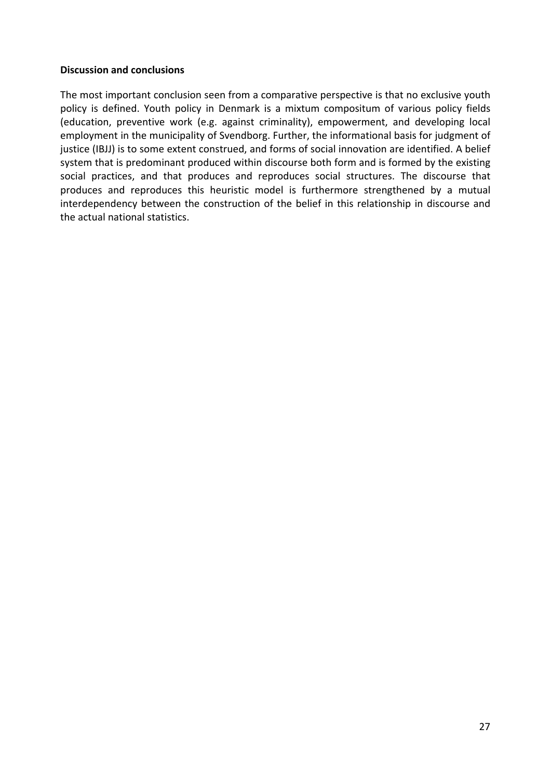#### **Discussion and conclusions**

The most important conclusion seen from a comparative perspective is that no exclusive youth policy is defined. Youth policy in Denmark is a mixtum compositum of various policy fields (education, preventive work (e.g. against criminality), empowerment, and developing local employment in the municipality of Svendborg. Further, the informational basis for judgment of justice (IBJJ) is to some extent construed, and forms of social innovation are identified. A belief system that is predominant produced within discourse both form and is formed by the existing social practices, and that produces and reproduces social structures. The discourse that produces and reproduces this heuristic model is furthermore strengthened by a mutual interdependency between the construction of the belief in this relationship in discourse and the actual national statistics.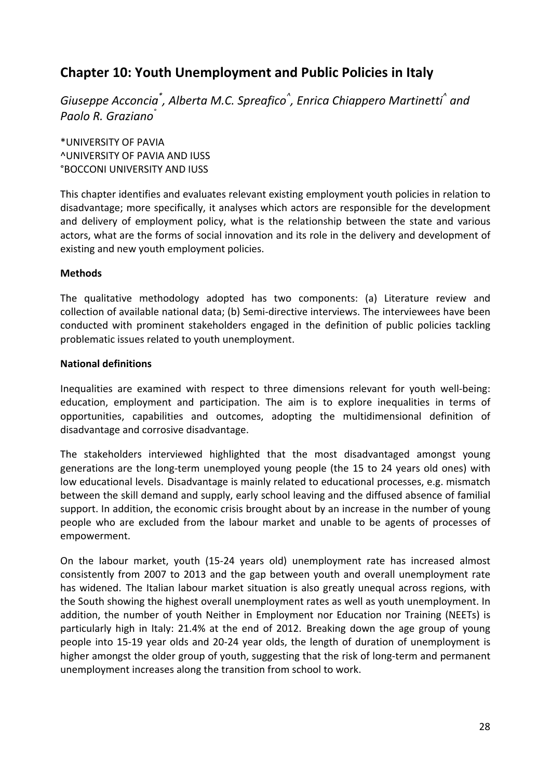# **Chapter 10: Youth Unemployment and Public Policies in Italy**

*Giuseppe Acconcia\* , Alberta M.C. Spreafico^ , Enrica Chiappero Martinetti^ and Paolo R. Graziano°*

\*UNIVERSITY OF PAVIA ^UNIVERSITY OF PAVIA AND IUSS °BOCCONI UNIVERSITY AND IUSS

This chapter identifies and evaluates relevant existing employment youth policies in relation to disadvantage; more specifically, it analyses which actors are responsible for the development and delivery of employment policy, what is the relationship between the state and various actors, what are the forms of social innovation and its role in the delivery and development of existing and new youth employment policies.

### **Methods**

The qualitative methodology adopted has two components: (a) Literature review and collection of available national data; (b) Semi‐directive interviews. The interviewees have been conducted with prominent stakeholders engaged in the definition of public policies tackling problematic issues related to youth unemployment.

#### **National definitions**

Inequalities are examined with respect to three dimensions relevant for youth well‐being: education, employment and participation. The aim is to explore inequalities in terms of opportunities, capabilities and outcomes, adopting the multidimensional definition of disadvantage and corrosive disadvantage.

The stakeholders interviewed highlighted that the most disadvantaged amongst young generations are the long‐term unemployed young people (the 15 to 24 years old ones) with low educational levels. Disadvantage is mainly related to educational processes, e.g. mismatch between the skill demand and supply, early school leaving and the diffused absence of familial support. In addition, the economic crisis brought about by an increase in the number of young people who are excluded from the labour market and unable to be agents of processes of empowerment.

On the labour market, youth (15‐24 years old) unemployment rate has increased almost consistently from 2007 to 2013 and the gap between youth and overall unemployment rate has widened. The Italian labour market situation is also greatly unequal across regions, with the South showing the highest overall unemployment rates as well as youth unemployment. In addition, the number of youth Neither in Employment nor Education nor Training (NEETs) is particularly high in Italy: 21.4% at the end of 2012. Breaking down the age group of young people into 15‐19 year olds and 20‐24 year olds, the length of duration of unemployment is higher amongst the older group of youth, suggesting that the risk of long-term and permanent unemployment increases along the transition from school to work.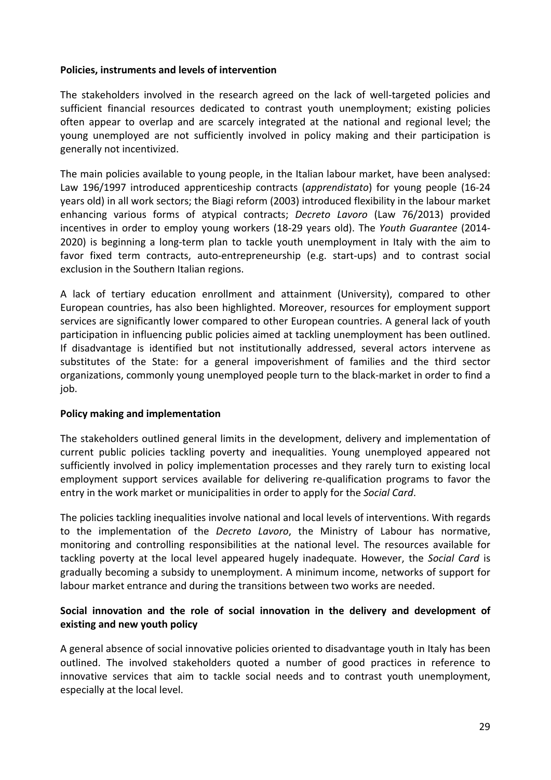#### **Policies, instruments and levels of intervention**

The stakeholders involved in the research agreed on the lack of well-targeted policies and sufficient financial resources dedicated to contrast youth unemployment; existing policies often appear to overlap and are scarcely integrated at the national and regional level; the young unemployed are not sufficiently involved in policy making and their participation is generally not incentivized.

The main policies available to young people, in the Italian labour market, have been analysed: Law 196/1997 introduced apprenticeship contracts (*apprendistato*) for young people (16‐24 years old) in all work sectors; the Biagi reform (2003) introduced flexibility in the labour market enhancing various forms of atypical contracts; *Decreto Lavoro* (Law 76/2013) provided incentives in order to employ young workers (18‐29 years old). The *Youth Guarantee* (2014‐ 2020) is beginning a long‐term plan to tackle youth unemployment in Italy with the aim to favor fixed term contracts, auto‐entrepreneurship (e.g. start‐ups) and to contrast social exclusion in the Southern Italian regions.

A lack of tertiary education enrollment and attainment (University), compared to other European countries, has also been highlighted. Moreover, resources for employment support services are significantly lower compared to other European countries. A general lack of youth participation in influencing public policies aimed at tackling unemployment has been outlined. If disadvantage is identified but not institutionally addressed, several actors intervene as substitutes of the State: for a general impoverishment of families and the third sector organizations, commonly young unemployed people turn to the black‐market in order to find a job.

### **Policy making and implementation**

The stakeholders outlined general limits in the development, delivery and implementation of current public policies tackling poverty and inequalities. Young unemployed appeared not sufficiently involved in policy implementation processes and they rarely turn to existing local employment support services available for delivering re-qualification programs to favor the entry in the work market or municipalities in order to apply for the *Social Card*.

The policies tackling inequalities involve national and local levels of interventions. With regards to the implementation of the *Decreto Lavoro*, the Ministry of Labour has normative, monitoring and controlling responsibilities at the national level. The resources available for tackling poverty at the local level appeared hugely inadequate. However, the *Social Card* is gradually becoming a subsidy to unemployment. A minimum income, networks of support for labour market entrance and during the transitions between two works are needed.

# **Social innovation and the role of social innovation in the delivery and development of existing and new youth policy**

A general absence of social innovative policies oriented to disadvantage youth in Italy has been outlined. The involved stakeholders quoted a number of good practices in reference to innovative services that aim to tackle social needs and to contrast youth unemployment, especially at the local level.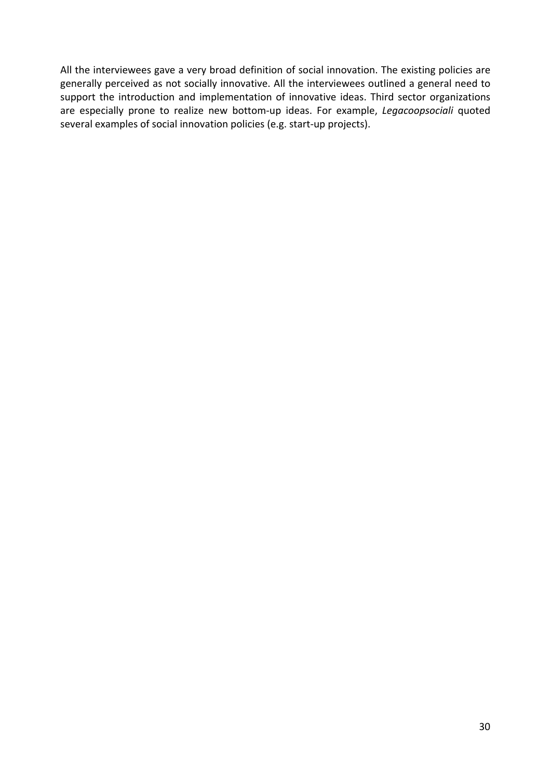All the interviewees gave a very broad definition of social innovation. The existing policies are generally perceived as not socially innovative. All the interviewees outlined a general need to support the introduction and implementation of innovative ideas. Third sector organizations are especially prone to realize new bottom‐up ideas. For example, *Legacoopsociali* quoted several examples of social innovation policies (e.g. start‐up projects).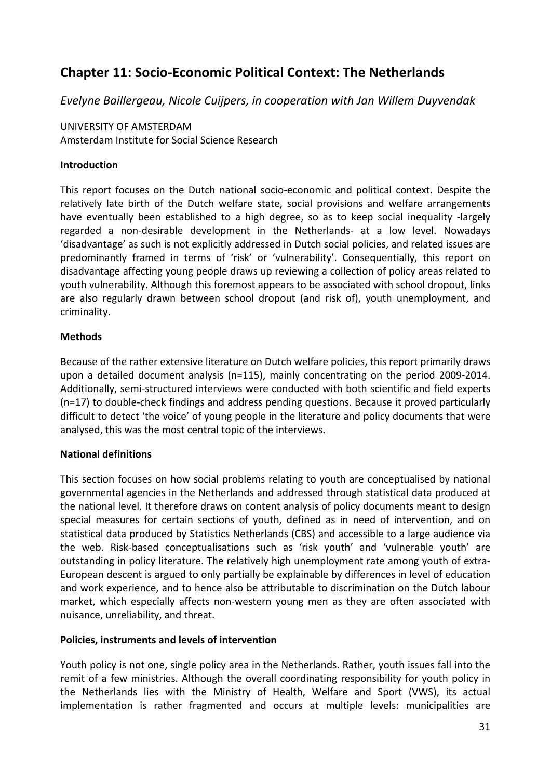# **Chapter 11: Socio‐Economic Political Context: The Netherlands**

*Evelyne Baillergeau, Nicole Cuijpers, in cooperation with Jan Willem Duyvendak*

# UNIVERSITY OF AMSTERDAM

Amsterdam Institute for Social Science Research

### **Introduction**

This report focuses on the Dutch national socio‐economic and political context. Despite the relatively late birth of the Dutch welfare state, social provisions and welfare arrangements have eventually been established to a high degree, so as to keep social inequality -largely regarded a non‐desirable development in the Netherlands‐ at a low level. Nowadays 'disadvantage' as such is not explicitly addressed in Dutch social policies, and related issues are predominantly framed in terms of 'risk' or 'vulnerability'. Consequentially, this report on disadvantage affecting young people draws up reviewing a collection of policy areas related to youth vulnerability. Although this foremost appears to be associated with school dropout, links are also regularly drawn between school dropout (and risk of), youth unemployment, and criminality.

# **Methods**

Because of the rather extensive literature on Dutch welfare policies, this report primarily draws upon a detailed document analysis (n=115), mainly concentrating on the period 2009‐2014. Additionally, semi‐structured interviews were conducted with both scientific and field experts (n=17) to double‐check findings and address pending questions. Because it proved particularly difficult to detect 'the voice' of young people in the literature and policy documents that were analysed, this was the most central topic of the interviews.

### **National definitions**

This section focuses on how social problems relating to youth are conceptualised by national governmental agencies in the Netherlands and addressed through statistical data produced at the national level. It therefore draws on content analysis of policy documents meant to design special measures for certain sections of youth, defined as in need of intervention, and on statistical data produced by Statistics Netherlands (CBS) and accessible to a large audience via the web. Risk‐based conceptualisations such as 'risk youth' and 'vulnerable youth' are outstanding in policy literature. The relatively high unemployment rate among youth of extra‐ European descent is argued to only partially be explainable by differences in level of education and work experience, and to hence also be attributable to discrimination on the Dutch labour market, which especially affects non-western young men as they are often associated with nuisance, unreliability, and threat.

### **Policies, instruments and levels of intervention**

Youth policy is not one, single policy area in the Netherlands. Rather, youth issues fall into the remit of a few ministries. Although the overall coordinating responsibility for youth policy in the Netherlands lies with the Ministry of Health, Welfare and Sport (VWS), its actual implementation is rather fragmented and occurs at multiple levels: municipalities are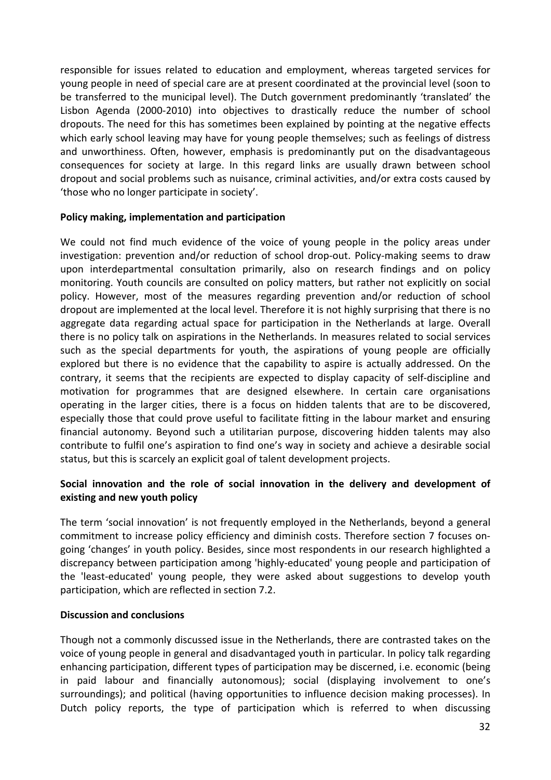responsible for issues related to education and employment, whereas targeted services for young people in need of special care are at present coordinated at the provincial level (soon to be transferred to the municipal level). The Dutch government predominantly 'translated' the Lisbon Agenda (2000‐2010) into objectives to drastically reduce the number of school dropouts. The need for this has sometimes been explained by pointing at the negative effects which early school leaving may have for young people themselves; such as feelings of distress and unworthiness. Often, however, emphasis is predominantly put on the disadvantageous consequences for society at large. In this regard links are usually drawn between school dropout and social problems such as nuisance, criminal activities, and/or extra costs caused by 'those who no longer participate in society'.

#### **Policy making, implementation and participation**

We could not find much evidence of the voice of young people in the policy areas under investigation: prevention and/or reduction of school drop-out. Policy-making seems to draw upon interdepartmental consultation primarily, also on research findings and on policy monitoring. Youth councils are consulted on policy matters, but rather not explicitly on social policy. However, most of the measures regarding prevention and/or reduction of school dropout are implemented at the local level. Therefore it is not highly surprising that there is no aggregate data regarding actual space for participation in the Netherlands at large. Overall there is no policy talk on aspirations in the Netherlands. In measures related to social services such as the special departments for youth, the aspirations of young people are officially explored but there is no evidence that the capability to aspire is actually addressed. On the contrary, it seems that the recipients are expected to display capacity of self‐discipline and motivation for programmes that are designed elsewhere. In certain care organisations operating in the larger cities, there is a focus on hidden talents that are to be discovered, especially those that could prove useful to facilitate fitting in the labour market and ensuring financial autonomy. Beyond such a utilitarian purpose, discovering hidden talents may also contribute to fulfil one's aspiration to find one's way in society and achieve a desirable social status, but this is scarcely an explicit goal of talent development projects.

### **Social innovation and the role of social innovation in the delivery and development of existing and new youth policy**

The term 'social innovation' is not frequently employed in the Netherlands, beyond a general commitment to increase policy efficiency and diminish costs. Therefore section 7 focuses on‐ going 'changes' in youth policy. Besides, since most respondents in our research highlighted a discrepancy between participation among 'highly‐educated' young people and participation of the 'least‐educated' young people, they were asked about suggestions to develop youth participation, which are reflected in section 7.2.

### **Discussion and conclusions**

Though not a commonly discussed issue in the Netherlands, there are contrasted takes on the voice of young people in general and disadvantaged youth in particular. In policy talk regarding enhancing participation, different types of participation may be discerned, i.e. economic (being in paid labour and financially autonomous); social (displaying involvement to one's surroundings); and political (having opportunities to influence decision making processes). In Dutch policy reports, the type of participation which is referred to when discussing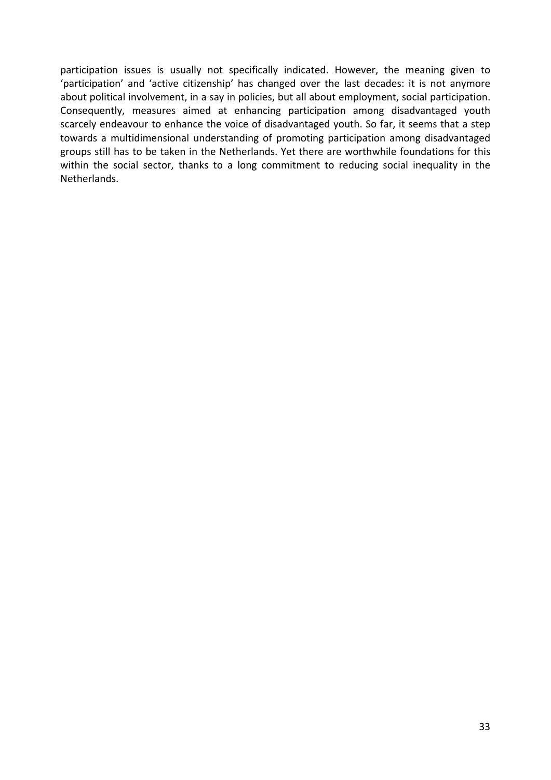participation issues is usually not specifically indicated. However, the meaning given to 'participation' and 'active citizenship' has changed over the last decades: it is not anymore about political involvement, in a say in policies, but all about employment, social participation. Consequently, measures aimed at enhancing participation among disadvantaged youth scarcely endeavour to enhance the voice of disadvantaged youth. So far, it seems that a step towards a multidimensional understanding of promoting participation among disadvantaged groups still has to be taken in the Netherlands. Yet there are worthwhile foundations for this within the social sector, thanks to a long commitment to reducing social inequality in the Netherlands.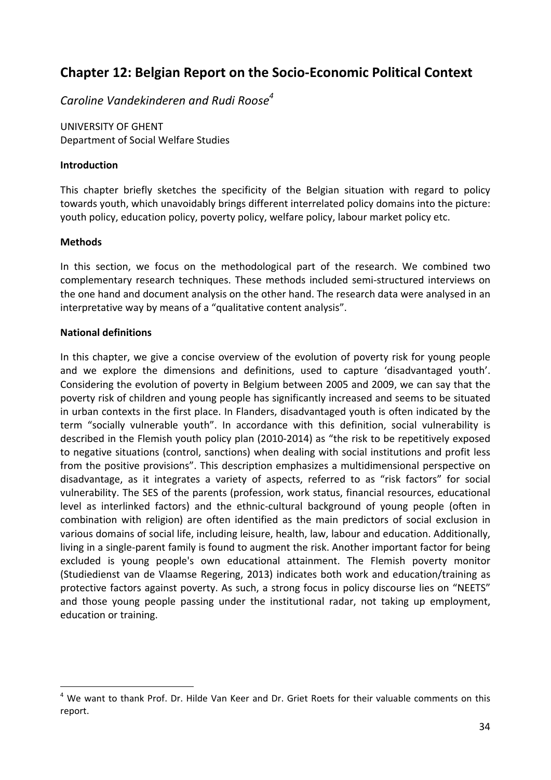# **Chapter 12: Belgian Report on the Socio‐Economic Political Context**

*Caroline Vandekinderen and Rudi Roose4*

UNIVERSITY OF GHENT Department of Social Welfare Studies

### **Introduction**

This chapter briefly sketches the specificity of the Belgian situation with regard to policy towards youth, which unavoidably brings different interrelated policy domains into the picture: youth policy, education policy, poverty policy, welfare policy, labour market policy etc.

# **Methods**

In this section, we focus on the methodological part of the research. We combined two complementary research techniques. These methods included semi‐structured interviews on the one hand and document analysis on the other hand. The research data were analysed in an interpretative way by means of a "qualitative content analysis".

# **National definitions**

In this chapter, we give a concise overview of the evolution of poverty risk for young people and we explore the dimensions and definitions, used to capture 'disadvantaged youth'. Considering the evolution of poverty in Belgium between 2005 and 2009, we can say that the poverty risk of children and young people has significantly increased and seems to be situated in urban contexts in the first place. In Flanders, disadvantaged youth is often indicated by the term "socially vulnerable youth". In accordance with this definition, social vulnerability is described in the Flemish youth policy plan (2010‐2014) as "the risk to be repetitively exposed to negative situations (control, sanctions) when dealing with social institutions and profit less from the positive provisions". This description emphasizes a multidimensional perspective on disadvantage, as it integrates a variety of aspects, referred to as "risk factors" for social vulnerability. The SES of the parents (profession, work status, financial resources, educational level as interlinked factors) and the ethnic‐cultural background of young people (often in combination with religion) are often identified as the main predictors of social exclusion in various domains of social life, including leisure, health, law, labour and education. Additionally, living in a single‐parent family is found to augment the risk. Another important factor for being excluded is young people's own educational attainment. The Flemish poverty monitor (Studiedienst van de Vlaamse Regering, 2013) indicates both work and education/training as protective factors against poverty. As such, a strong focus in policy discourse lies on "NEETS" and those young people passing under the institutional radar, not taking up employment, education or training.

 $4$  We want to thank Prof. Dr. Hilde Van Keer and Dr. Griet Roets for their valuable comments on this report.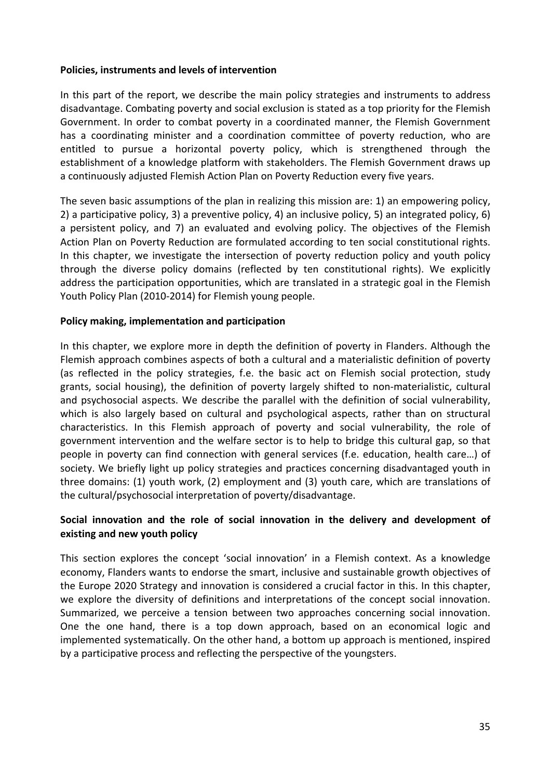#### **Policies, instruments and levels of intervention**

In this part of the report, we describe the main policy strategies and instruments to address disadvantage. Combating poverty and social exclusion is stated as a top priority for the Flemish Government. In order to combat poverty in a coordinated manner, the Flemish Government has a coordinating minister and a coordination committee of poverty reduction, who are entitled to pursue a horizontal poverty policy, which is strengthened through the establishment of a knowledge platform with stakeholders. The Flemish Government draws up a continuously adjusted Flemish Action Plan on Poverty Reduction every five years.

The seven basic assumptions of the plan in realizing this mission are: 1) an empowering policy, 2) a participative policy, 3) a preventive policy, 4) an inclusive policy, 5) an integrated policy, 6) a persistent policy, and 7) an evaluated and evolving policy. The objectives of the Flemish Action Plan on Poverty Reduction are formulated according to ten social constitutional rights. In this chapter, we investigate the intersection of poverty reduction policy and youth policy through the diverse policy domains (reflected by ten constitutional rights). We explicitly address the participation opportunities, which are translated in a strategic goal in the Flemish Youth Policy Plan (2010‐2014) for Flemish young people.

### **Policy making, implementation and participation**

In this chapter, we explore more in depth the definition of poverty in Flanders. Although the Flemish approach combines aspects of both a cultural and a materialistic definition of poverty (as reflected in the policy strategies, f.e. the basic act on Flemish social protection, study grants, social housing), the definition of poverty largely shifted to non‐materialistic, cultural and psychosocial aspects. We describe the parallel with the definition of social vulnerability, which is also largely based on cultural and psychological aspects, rather than on structural characteristics. In this Flemish approach of poverty and social vulnerability, the role of government intervention and the welfare sector is to help to bridge this cultural gap, so that people in poverty can find connection with general services (f.e. education, health care…) of society. We briefly light up policy strategies and practices concerning disadvantaged youth in three domains: (1) youth work, (2) employment and (3) youth care, which are translations of the cultural/psychosocial interpretation of poverty/disadvantage.

### **Social innovation and the role of social innovation in the delivery and development of existing and new youth policy**

This section explores the concept 'social innovation' in a Flemish context. As a knowledge economy, Flanders wants to endorse the smart, inclusive and sustainable growth objectives of the Europe 2020 Strategy and innovation is considered a crucial factor in this. In this chapter, we explore the diversity of definitions and interpretations of the concept social innovation. Summarized, we perceive a tension between two approaches concerning social innovation. One the one hand, there is a top down approach, based on an economical logic and implemented systematically. On the other hand, a bottom up approach is mentioned, inspired by a participative process and reflecting the perspective of the youngsters.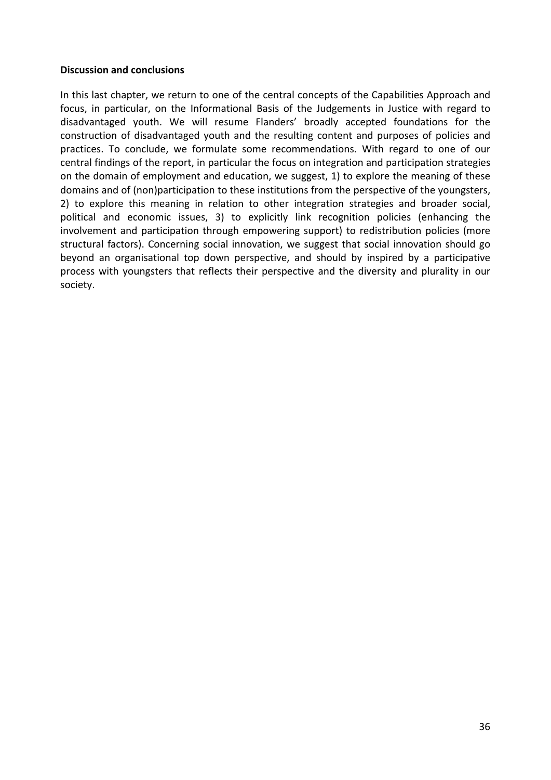#### **Discussion and conclusions**

In this last chapter, we return to one of the central concepts of the Capabilities Approach and focus, in particular, on the Informational Basis of the Judgements in Justice with regard to disadvantaged youth. We will resume Flanders' broadly accepted foundations for the construction of disadvantaged youth and the resulting content and purposes of policies and practices. To conclude, we formulate some recommendations. With regard to one of our central findings of the report, in particular the focus on integration and participation strategies on the domain of employment and education, we suggest, 1) to explore the meaning of these domains and of (non)participation to these institutions from the perspective of the youngsters, 2) to explore this meaning in relation to other integration strategies and broader social, political and economic issues, 3) to explicitly link recognition policies (enhancing the involvement and participation through empowering support) to redistribution policies (more structural factors). Concerning social innovation, we suggest that social innovation should go beyond an organisational top down perspective, and should by inspired by a participative process with youngsters that reflects their perspective and the diversity and plurality in our society.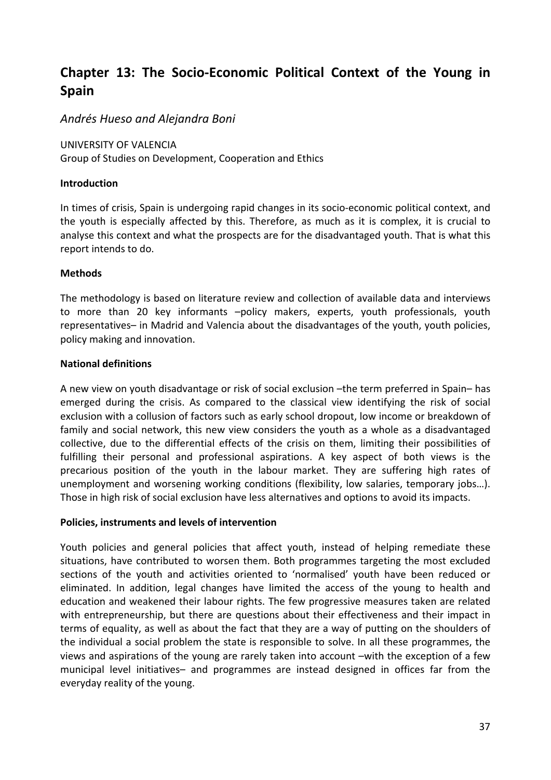# **Chapter 13: The Socio‐Economic Political Context of the Young in Spain**

# *Andrés Hueso and Alejandra Boni*

UNIVERSITY OF VALENCIA

Group of Studies on Development, Cooperation and Ethics

#### **Introduction**

In times of crisis, Spain is undergoing rapid changes in its socio‐economic political context, and the youth is especially affected by this. Therefore, as much as it is complex, it is crucial to analyse this context and what the prospects are for the disadvantaged youth. That is what this report intends to do.

### **Methods**

The methodology is based on literature review and collection of available data and interviews to more than 20 key informants –policy makers, experts, youth professionals, youth representatives– in Madrid and Valencia about the disadvantages of the youth, youth policies, policy making and innovation.

#### **National definitions**

A new view on youth disadvantage or risk of social exclusion –the term preferred in Spain– has emerged during the crisis. As compared to the classical view identifying the risk of social exclusion with a collusion of factors such as early school dropout, low income or breakdown of family and social network, this new view considers the youth as a whole as a disadvantaged collective, due to the differential effects of the crisis on them, limiting their possibilities of fulfilling their personal and professional aspirations. A key aspect of both views is the precarious position of the youth in the labour market. They are suffering high rates of unemployment and worsening working conditions (flexibility, low salaries, temporary jobs…). Those in high risk of social exclusion have less alternatives and options to avoid its impacts.

#### **Policies, instruments and levels of intervention**

Youth policies and general policies that affect youth, instead of helping remediate these situations, have contributed to worsen them. Both programmes targeting the most excluded sections of the youth and activities oriented to 'normalised' youth have been reduced or eliminated. In addition, legal changes have limited the access of the young to health and education and weakened their labour rights. The few progressive measures taken are related with entrepreneurship, but there are questions about their effectiveness and their impact in terms of equality, as well as about the fact that they are a way of putting on the shoulders of the individual a social problem the state is responsible to solve. In all these programmes, the views and aspirations of the young are rarely taken into account –with the exception of a few municipal level initiatives– and programmes are instead designed in offices far from the everyday reality of the young.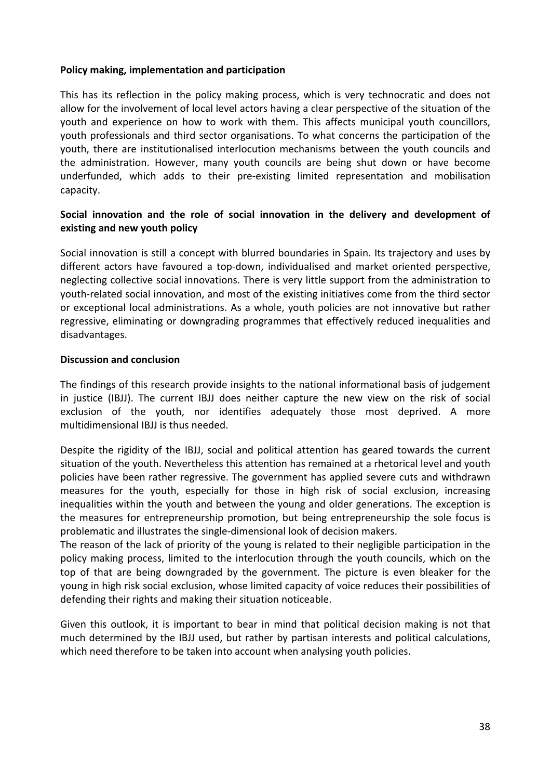#### **Policy making, implementation and participation**

This has its reflection in the policy making process, which is very technocratic and does not allow for the involvement of local level actors having a clear perspective of the situation of the youth and experience on how to work with them. This affects municipal youth councillors, youth professionals and third sector organisations. To what concerns the participation of the youth, there are institutionalised interlocution mechanisms between the youth councils and the administration. However, many youth councils are being shut down or have become underfunded, which adds to their pre‐existing limited representation and mobilisation capacity.

### **Social innovation and the role of social innovation in the delivery and development of existing and new youth policy**

Social innovation is still a concept with blurred boundaries in Spain. Its trajectory and uses by different actors have favoured a top-down, individualised and market oriented perspective, neglecting collective social innovations. There is very little support from the administration to youth‐related social innovation, and most of the existing initiatives come from the third sector or exceptional local administrations. As a whole, youth policies are not innovative but rather regressive, eliminating or downgrading programmes that effectively reduced inequalities and disadvantages.

#### **Discussion and conclusion**

The findings of this research provide insights to the national informational basis of judgement in justice (IBJJ). The current IBJJ does neither capture the new view on the risk of social exclusion of the youth, nor identifies adequately those most deprived. A more multidimensional IBJJ is thus needed.

Despite the rigidity of the IBJJ, social and political attention has geared towards the current situation of the youth. Nevertheless this attention has remained at a rhetorical level and youth policies have been rather regressive. The government has applied severe cuts and withdrawn measures for the youth, especially for those in high risk of social exclusion, increasing inequalities within the youth and between the young and older generations. The exception is the measures for entrepreneurship promotion, but being entrepreneurship the sole focus is problematic and illustrates the single‐dimensional look of decision makers.

The reason of the lack of priority of the young is related to their negligible participation in the policy making process, limited to the interlocution through the youth councils, which on the top of that are being downgraded by the government. The picture is even bleaker for the young in high risk social exclusion, whose limited capacity of voice reduces their possibilities of defending their rights and making their situation noticeable.

Given this outlook, it is important to bear in mind that political decision making is not that much determined by the IBJJ used, but rather by partisan interests and political calculations, which need therefore to be taken into account when analysing youth policies.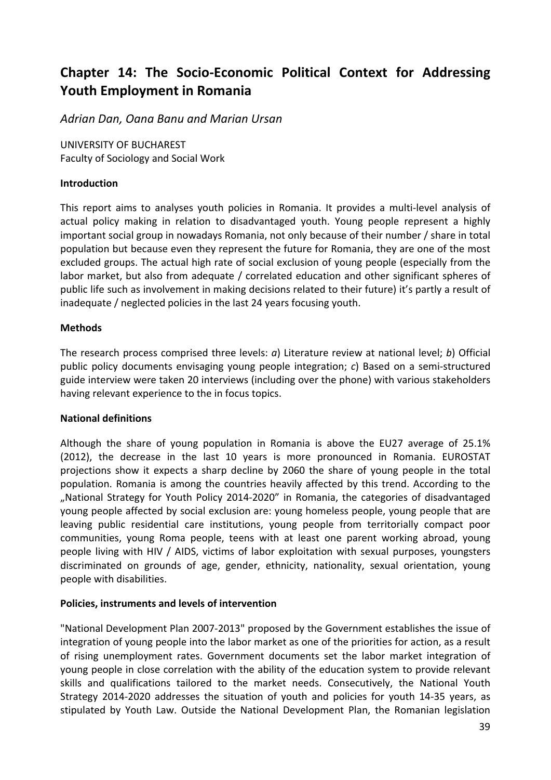# **Chapter 14: The Socio‐Economic Political Context for Addressing Youth Employment in Romania**

*Adrian Dan, Oana Banu and Marian Ursan*

UNIVERSITY OF BUCHAREST Faculty of Sociology and Social Work

#### **Introduction**

This report aims to analyses youth policies in Romania. It provides a multi‐level analysis of actual policy making in relation to disadvantaged youth. Young people represent a highly important social group in nowadays Romania, not only because of their number / share in total population but because even they represent the future for Romania, they are one of the most excluded groups. The actual high rate of social exclusion of young people (especially from the labor market, but also from adequate / correlated education and other significant spheres of public life such as involvement in making decisions related to their future) it's partly a result of inadequate / neglected policies in the last 24 years focusing youth.

#### **Methods**

The research process comprised three levels: *a*) Literature review at national level; *b*) Official public policy documents envisaging young people integration; *c*) Based on a semi‐structured guide interview were taken 20 interviews (including over the phone) with various stakeholders having relevant experience to the in focus topics.

#### **National definitions**

Although the share of young population in Romania is above the EU27 average of 25.1% (2012), the decrease in the last 10 years is more pronounced in Romania. EUROSTAT projections show it expects a sharp decline by 2060 the share of young people in the total population. Romania is among the countries heavily affected by this trend. According to the "National Strategy for Youth Policy 2014‐2020" in Romania, the categories of disadvantaged young people affected by social exclusion are: young homeless people, young people that are leaving public residential care institutions, young people from territorially compact poor communities, young Roma people, teens with at least one parent working abroad, young people living with HIV / AIDS, victims of labor exploitation with sexual purposes, youngsters discriminated on grounds of age, gender, ethnicity, nationality, sexual orientation, young people with disabilities.

### **Policies, instruments and levels of intervention**

"National Development Plan 2007‐2013" proposed by the Government establishes the issue of integration of young people into the labor market as one of the priorities for action, as a result of rising unemployment rates. Government documents set the labor market integration of young people in close correlation with the ability of the education system to provide relevant skills and qualifications tailored to the market needs. Consecutively, the National Youth Strategy 2014‐2020 addresses the situation of youth and policies for youth 14‐35 years, as stipulated by Youth Law. Outside the National Development Plan, the Romanian legislation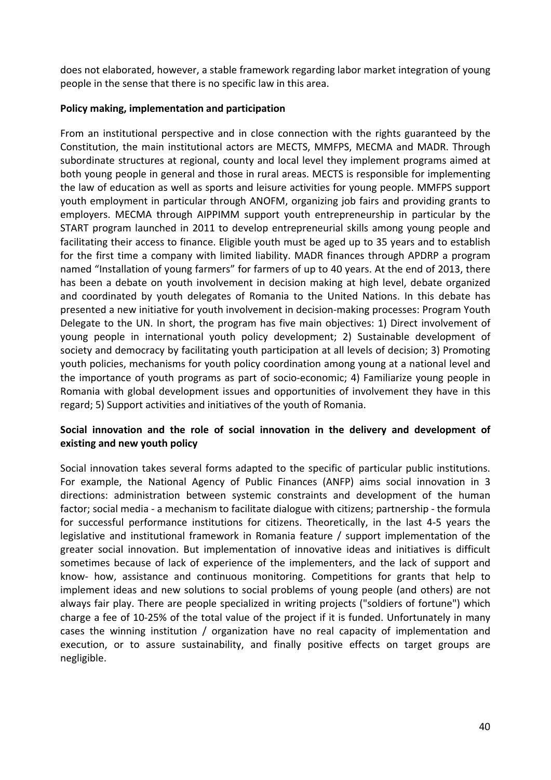does not elaborated, however, a stable framework regarding labor market integration of young people in the sense that there is no specific law in this area.

### **Policy making, implementation and participation**

From an institutional perspective and in close connection with the rights guaranteed by the Constitution, the main institutional actors are MECTS, MMFPS, MECMA and MADR. Through subordinate structures at regional, county and local level they implement programs aimed at both young people in general and those in rural areas. MECTS is responsible for implementing the law of education as well as sports and leisure activities for young people. MMFPS support youth employment in particular through ANOFM, organizing job fairs and providing grants to employers. MECMA through AIPPIMM support youth entrepreneurship in particular by the START program launched in 2011 to develop entrepreneurial skills among young people and facilitating their access to finance. Eligible youth must be aged up to 35 years and to establish for the first time a company with limited liability. MADR finances through APDRP a program named "Installation of young farmers" for farmers of up to 40 years. At the end of 2013, there has been a debate on youth involvement in decision making at high level, debate organized and coordinated by youth delegates of Romania to the United Nations. In this debate has presented a new initiative for youth involvement in decision‐making processes: Program Youth Delegate to the UN. In short, the program has five main objectives: 1) Direct involvement of young people in international youth policy development; 2) Sustainable development of society and democracy by facilitating youth participation at all levels of decision; 3) Promoting youth policies, mechanisms for youth policy coordination among young at a national level and the importance of youth programs as part of socio‐economic; 4) Familiarize young people in Romania with global development issues and opportunities of involvement they have in this regard; 5) Support activities and initiatives of the youth of Romania.

### **Social innovation and the role of social innovation in the delivery and development of existing and new youth policy**

Social innovation takes several forms adapted to the specific of particular public institutions. For example, the National Agency of Public Finances (ANFP) aims social innovation in 3 directions: administration between systemic constraints and development of the human factor; social media ‐ a mechanism to facilitate dialogue with citizens; partnership ‐ the formula for successful performance institutions for citizens. Theoretically, in the last 4‐5 years the legislative and institutional framework in Romania feature / support implementation of the greater social innovation. But implementation of innovative ideas and initiatives is difficult sometimes because of lack of experience of the implementers, and the lack of support and know‐ how, assistance and continuous monitoring. Competitions for grants that help to implement ideas and new solutions to social problems of young people (and others) are not always fair play. There are people specialized in writing projects ("soldiers of fortune") which charge a fee of 10‐25% of the total value of the project if it is funded. Unfortunately in many cases the winning institution / organization have no real capacity of implementation and execution, or to assure sustainability, and finally positive effects on target groups are negligible.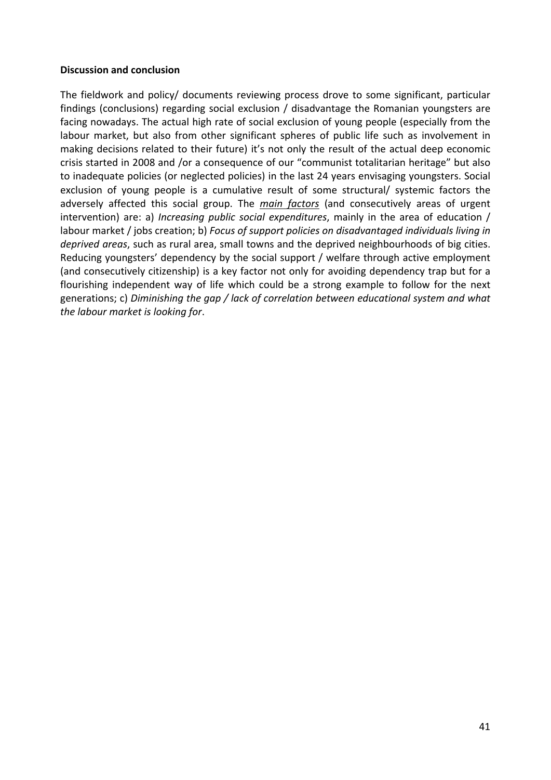#### **Discussion and conclusion**

The fieldwork and policy/ documents reviewing process drove to some significant, particular findings (conclusions) regarding social exclusion / disadvantage the Romanian youngsters are facing nowadays. The actual high rate of social exclusion of young people (especially from the labour market, but also from other significant spheres of public life such as involvement in making decisions related to their future) it's not only the result of the actual deep economic crisis started in 2008 and /or a consequence of our "communist totalitarian heritage" but also to inadequate policies (or neglected policies) in the last 24 years envisaging youngsters. Social exclusion of young people is a cumulative result of some structural/ systemic factors the adversely affected this social group. The *main factors* (and consecutively areas of urgent intervention) are: a) *Increasing public social expenditures*, mainly in the area of education / labour market / jobs creation; b) *Focus of support policies on disadvantaged individuals living in deprived areas*, such as rural area, small towns and the deprived neighbourhoods of big cities. Reducing youngsters' dependency by the social support / welfare through active employment (and consecutively citizenship) is a key factor not only for avoiding dependency trap but for a flourishing independent way of life which could be a strong example to follow for the next generations; c) *Diminishing the gap / lack of correlation between educational system and what the labour market is looking for*.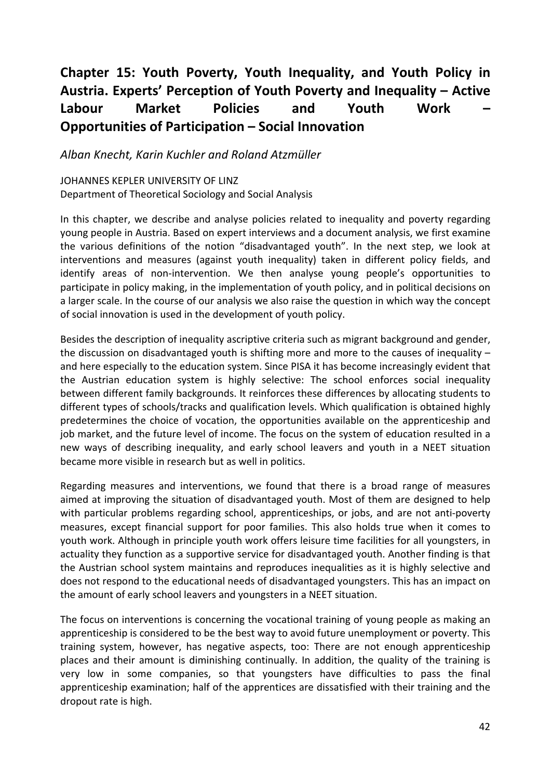# **Chapter 15: Youth Poverty, Youth Inequality, and Youth Policy in Austria. Experts' Perception of Youth Poverty and Inequality – Active Labour Market Policies and Youth Work – Opportunities of Participation – Social Innovation**

*Alban Knecht, Karin Kuchler and Roland Atzmüller*

JOHANNES KEPLER UNIVERSITY OF LINZ Department of Theoretical Sociology and Social Analysis

In this chapter, we describe and analyse policies related to inequality and poverty regarding young people in Austria. Based on expert interviews and a document analysis, we first examine the various definitions of the notion "disadvantaged youth". In the next step, we look at interventions and measures (against youth inequality) taken in different policy fields, and identify areas of non-intervention. We then analyse young people's opportunities to participate in policy making, in the implementation of youth policy, and in political decisions on a larger scale. In the course of our analysis we also raise the question in which way the concept of social innovation is used in the development of youth policy.

Besides the description of inequality ascriptive criteria such as migrant background and gender, the discussion on disadvantaged youth is shifting more and more to the causes of inequality – and here especially to the education system. Since PISA it has become increasingly evident that the Austrian education system is highly selective: The school enforces social inequality between different family backgrounds. It reinforces these differences by allocating students to different types of schools/tracks and qualification levels. Which qualification is obtained highly predetermines the choice of vocation, the opportunities available on the apprenticeship and job market, and the future level of income. The focus on the system of education resulted in a new ways of describing inequality, and early school leavers and youth in a NEET situation became more visible in research but as well in politics.

Regarding measures and interventions, we found that there is a broad range of measures aimed at improving the situation of disadvantaged youth. Most of them are designed to help with particular problems regarding school, apprenticeships, or jobs, and are not anti-poverty measures, except financial support for poor families. This also holds true when it comes to youth work. Although in principle youth work offers leisure time facilities for all youngsters, in actuality they function as a supportive service for disadvantaged youth. Another finding is that the Austrian school system maintains and reproduces inequalities as it is highly selective and does not respond to the educational needs of disadvantaged youngsters. This has an impact on the amount of early school leavers and youngsters in a NEET situation.

The focus on interventions is concerning the vocational training of young people as making an apprenticeship is considered to be the best way to avoid future unemployment or poverty. This training system, however, has negative aspects, too: There are not enough apprenticeship places and their amount is diminishing continually. In addition, the quality of the training is very low in some companies, so that youngsters have difficulties to pass the final apprenticeship examination; half of the apprentices are dissatisfied with their training and the dropout rate is high.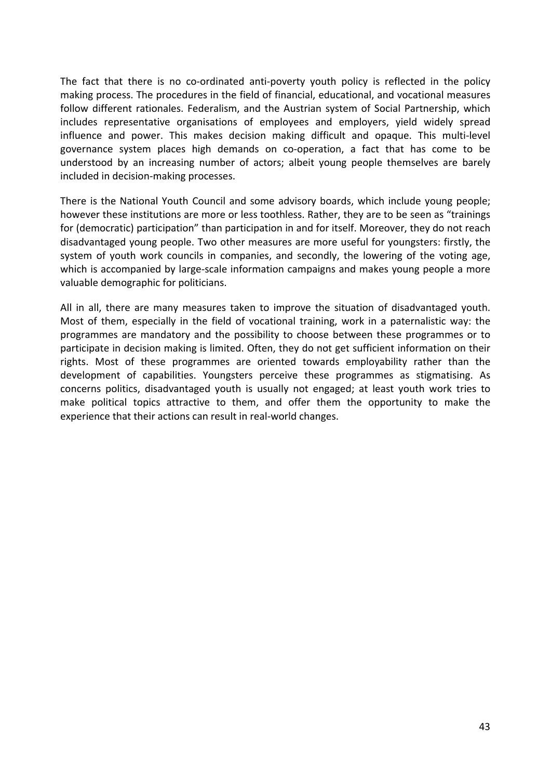The fact that there is no co-ordinated anti-poverty youth policy is reflected in the policy making process. The procedures in the field of financial, educational, and vocational measures follow different rationales. Federalism, and the Austrian system of Social Partnership, which includes representative organisations of employees and employers, yield widely spread influence and power. This makes decision making difficult and opaque. This multi‐level governance system places high demands on co‐operation, a fact that has come to be understood by an increasing number of actors; albeit young people themselves are barely included in decision‐making processes.

There is the National Youth Council and some advisory boards, which include young people; however these institutions are more or less toothless. Rather, they are to be seen as "trainings for (democratic) participation" than participation in and for itself. Moreover, they do not reach disadvantaged young people. Two other measures are more useful for youngsters: firstly, the system of youth work councils in companies, and secondly, the lowering of the voting age, which is accompanied by large-scale information campaigns and makes young people a more valuable demographic for politicians.

All in all, there are many measures taken to improve the situation of disadvantaged youth. Most of them, especially in the field of vocational training, work in a paternalistic way: the programmes are mandatory and the possibility to choose between these programmes or to participate in decision making is limited. Often, they do not get sufficient information on their rights. Most of these programmes are oriented towards employability rather than the development of capabilities. Youngsters perceive these programmes as stigmatising. As concerns politics, disadvantaged youth is usually not engaged; at least youth work tries to make political topics attractive to them, and offer them the opportunity to make the experience that their actions can result in real-world changes.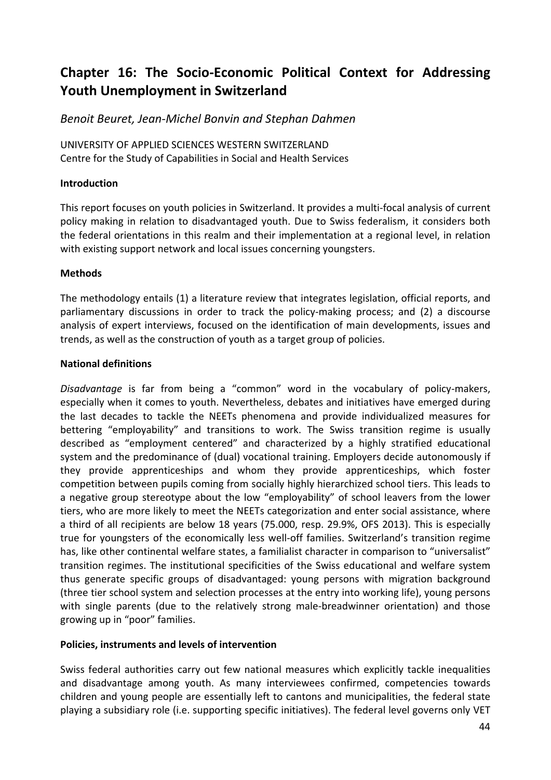# **Chapter 16: The Socio‐Economic Political Context for Addressing Youth Unemployment in Switzerland**

*Benoit Beuret, Jean‐Michel Bonvin and Stephan Dahmen* 

UNIVERSITY OF APPLIED SCIENCES WESTERN SWITZERLAND Centre for the Study of Capabilities in Social and Health Services

### **Introduction**

This report focuses on youth policies in Switzerland. It provides a multi‐focal analysis of current policy making in relation to disadvantaged youth. Due to Swiss federalism, it considers both the federal orientations in this realm and their implementation at a regional level, in relation with existing support network and local issues concerning youngsters.

# **Methods**

The methodology entails (1) a literature review that integrates legislation, official reports, and parliamentary discussions in order to track the policy‐making process; and (2) a discourse analysis of expert interviews, focused on the identification of main developments, issues and trends, as well as the construction of youth as a target group of policies.

# **National definitions**

*Disadvantage* is far from being a "common" word in the vocabulary of policy-makers, especially when it comes to youth. Nevertheless, debates and initiatives have emerged during the last decades to tackle the NEETs phenomena and provide individualized measures for bettering "employability" and transitions to work. The Swiss transition regime is usually described as "employment centered" and characterized by a highly stratified educational system and the predominance of (dual) vocational training. Employers decide autonomously if they provide apprenticeships and whom they provide apprenticeships, which foster competition between pupils coming from socially highly hierarchized school tiers. This leads to a negative group stereotype about the low "employability" of school leavers from the lower tiers, who are more likely to meet the NEETs categorization and enter social assistance, where a third of all recipients are below 18 years (75.000, resp. 29.9%, OFS 2013). This is especially true for youngsters of the economically less well‐off families. Switzerland's transition regime has, like other continental welfare states, a familialist character in comparison to "universalist" transition regimes. The institutional specificities of the Swiss educational and welfare system thus generate specific groups of disadvantaged: young persons with migration background (three tier school system and selection processes at the entry into working life), young persons with single parents (due to the relatively strong male-breadwinner orientation) and those growing up in "poor" families.

### **Policies, instruments and levels of intervention**

Swiss federal authorities carry out few national measures which explicitly tackle inequalities and disadvantage among youth. As many interviewees confirmed, competencies towards children and young people are essentially left to cantons and municipalities, the federal state playing a subsidiary role (i.e. supporting specific initiatives). The federal level governs only VET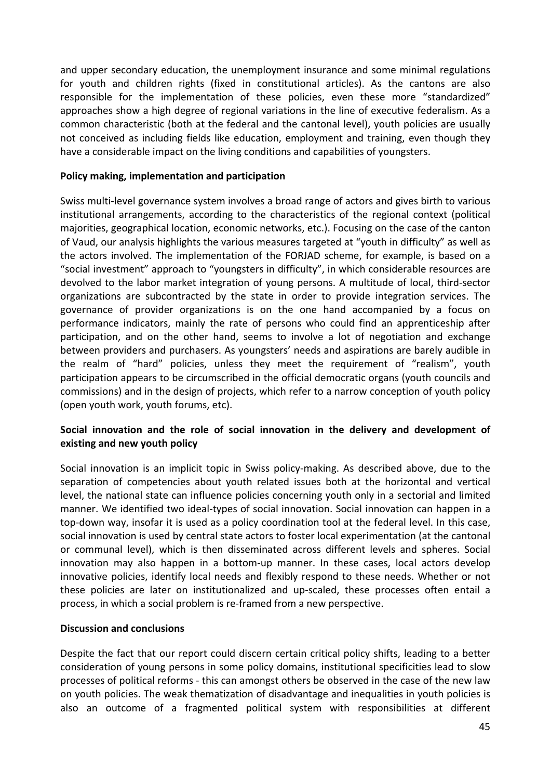and upper secondary education, the unemployment insurance and some minimal regulations for youth and children rights (fixed in constitutional articles). As the cantons are also responsible for the implementation of these policies, even these more "standardized" approaches show a high degree of regional variations in the line of executive federalism. As a common characteristic (both at the federal and the cantonal level), youth policies are usually not conceived as including fields like education, employment and training, even though they have a considerable impact on the living conditions and capabilities of youngsters.

#### **Policy making, implementation and participation**

Swiss multi‐level governance system involves a broad range of actors and gives birth to various institutional arrangements, according to the characteristics of the regional context (political majorities, geographical location, economic networks, etc.). Focusing on the case of the canton of Vaud, our analysis highlights the various measures targeted at "youth in difficulty" as well as the actors involved. The implementation of the FORJAD scheme, for example, is based on a "social investment" approach to "youngsters in difficulty", in which considerable resources are devolved to the labor market integration of young persons. A multitude of local, third‐sector organizations are subcontracted by the state in order to provide integration services. The governance of provider organizations is on the one hand accompanied by a focus on performance indicators, mainly the rate of persons who could find an apprenticeship after participation, and on the other hand, seems to involve a lot of negotiation and exchange between providers and purchasers. As youngsters' needs and aspirations are barely audible in the realm of "hard" policies, unless they meet the requirement of "realism", youth participation appears to be circumscribed in the official democratic organs (youth councils and commissions) and in the design of projects, which refer to a narrow conception of youth policy (open youth work, youth forums, etc).

### **Social innovation and the role of social innovation in the delivery and development of existing and new youth policy**

Social innovation is an implicit topic in Swiss policy-making. As described above, due to the separation of competencies about youth related issues both at the horizontal and vertical level, the national state can influence policies concerning youth only in a sectorial and limited manner. We identified two ideal‐types of social innovation. Social innovation can happen in a top‐down way, insofar it is used as a policy coordination tool at the federal level. In this case, social innovation is used by central state actors to foster local experimentation (at the cantonal or communal level), which is then disseminated across different levels and spheres. Social innovation may also happen in a bottom‐up manner. In these cases, local actors develop innovative policies, identify local needs and flexibly respond to these needs. Whether or not these policies are later on institutionalized and up‐scaled, these processes often entail a process, in which a social problem is re‐framed from a new perspective.

#### **Discussion and conclusions**

Despite the fact that our report could discern certain critical policy shifts, leading to a better consideration of young persons in some policy domains, institutional specificities lead to slow processes of political reforms ‐ this can amongst others be observed in the case of the new law on youth policies. The weak thematization of disadvantage and inequalities in youth policies is also an outcome of a fragmented political system with responsibilities at different